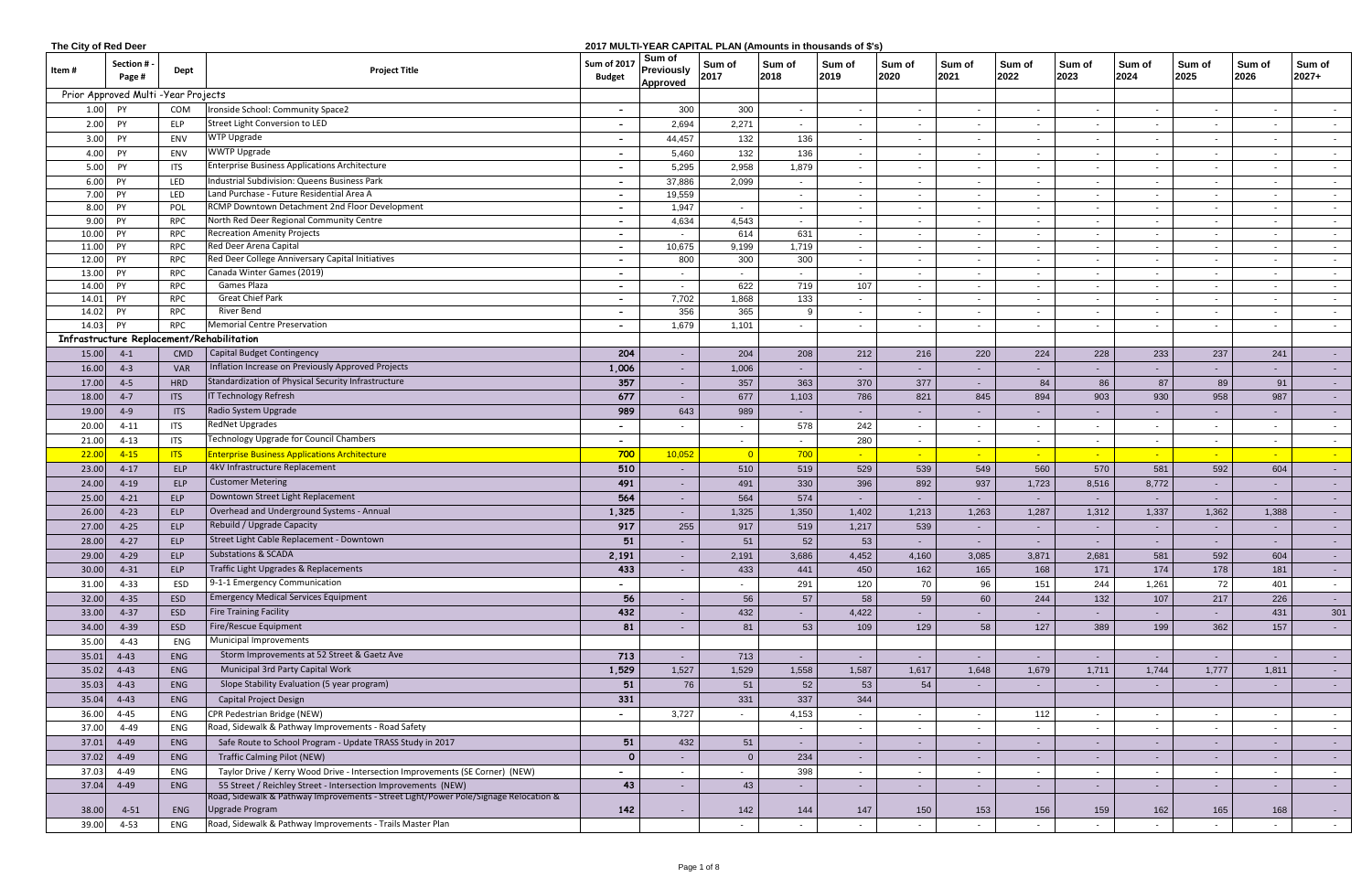| The City of Red Deer |                                      |            |                                                                                      |                                     |                                                | 2017 MULTI-YEAR CAPITAL PLAN (Amounts in thousands of \$'s) |                |                |                 |                |                |                |                          |                |                |                     |
|----------------------|--------------------------------------|------------|--------------------------------------------------------------------------------------|-------------------------------------|------------------------------------------------|-------------------------------------------------------------|----------------|----------------|-----------------|----------------|----------------|----------------|--------------------------|----------------|----------------|---------------------|
| Item #               | Section #<br>Page #                  | Dept       | <b>Project Title</b>                                                                 | <b>Sum of 2017</b><br><b>Budget</b> | Sum of<br><b>Previously</b><br><b>Approved</b> | Sum of<br>2017                                              | Sum of<br>2018 | Sum of<br>2019 | Sum of<br>2020  | Sum of<br>2021 | Sum of<br>2022 | Sum of<br>2023 | Sum of<br>2024           | Sum of<br>2025 | Sum of<br>2026 | Sum of<br>2027+     |
|                      | Prior Approved Multi - Year Projects |            |                                                                                      |                                     |                                                |                                                             |                |                |                 |                |                |                |                          |                |                |                     |
| 1.00                 | PY                                   | COM        | Ironside School: Community Space2                                                    |                                     | 300                                            | 300                                                         | $\sim$         | $\sim$         | $\sim$          | $\sim$         | $\blacksquare$ | $\sim$         | $\blacksquare$           | $\sim$         | $\sim$         | $\sim$ $-$          |
| 2.00                 | PY                                   | <b>ELP</b> | Street Light Conversion to LED                                                       |                                     | 2,694                                          | 2,271                                                       | $\sim$         |                |                 |                |                |                |                          |                | $\sim$         | $\sim$ $-$          |
| 3.00                 | PY                                   | ENV        | WTP Upgrade                                                                          |                                     | 44,457                                         | 132                                                         | 136            |                |                 | $\sim$         |                | $\sim$         |                          |                | $\sim$         | $\sim$ $-$          |
| 4.00 PY              |                                      | ENV        | <b>WWTP Upgrade</b>                                                                  |                                     | 5,460                                          | 132                                                         | 136            |                | $\sim$          | $\sim$         |                | $\sim$         | $\overline{\phantom{a}}$ |                | $\sim$         | $\sim$              |
| 5.00                 | PY                                   | ITS        | <b>Enterprise Business Applications Architecture</b>                                 |                                     | 5,295                                          | 2,958                                                       | 1,879          |                | $\sim$          |                |                | $\sim$         |                          |                | $\blacksquare$ | $\sim$              |
| 6.00                 | PY                                   | LED        | Industrial Subdivision: Queens Business Park                                         |                                     | 37,886                                         | 2,099                                                       | $\sim$         | $\sim$         | $\sim$          | $\sim$         | $\sim$         | $\sim$         | $\overline{\phantom{a}}$ | $\sim$         | $\sim$         | $\sim$              |
| 7.00                 | PY                                   | LED        | Land Purchase - Future Residential Area A                                            | $\sim$                              | 19,559                                         |                                                             | $\sim$         |                | $\sim$          | $\sim$         | $\sim$         | $\sim$         | $\blacksquare$           | $\sim$         | $\sim$         | $\sim$              |
| 8.00                 | PY                                   | POL        | RCMP Downtown Detachment 2nd Floor Development                                       | $\overline{\phantom{0}}$            | 1,947                                          | $\sim$                                                      | $\sim$         |                | $\sim$          | $\sim$         |                | $\sim$         | $\sim$                   | $\sim$         | $\sim$         | $\sim$              |
| 9.00                 | PY                                   | <b>RPC</b> | North Red Deer Regional Community Centre                                             |                                     | 4,634                                          | 4,543                                                       | $\sim$         |                | $\sim$          | $\sim$         |                | $\sim$         |                          |                | $\blacksquare$ | $\sim$              |
| 10.00                | PY                                   | <b>RPC</b> | <b>Recreation Amenity Projects</b>                                                   |                                     |                                                | 614                                                         | 631            |                | $\sim$          | $\sim$         |                | $\sim$         |                          |                | $\sim$         | $\sim$ $-$          |
| 11.00                | PY                                   | <b>RPC</b> | Red Deer Arena Capital                                                               |                                     | 10,675                                         | 9,199                                                       | 1,719          |                | $\sim$          | $\sim$         |                | $\sim$         |                          |                | $\sim$         | $\sim$              |
| 12.00                | <b>PY</b>                            | <b>RPC</b> | Red Deer College Anniversary Capital Initiatives                                     |                                     | 800                                            | 300                                                         | 300            |                | $\sim$          | $\sim$         |                | $\sim$         |                          |                | $\sim$         | $\sim$              |
| 13.00                | <b>PY</b>                            | <b>RPC</b> | Canada Winter Games (2019)                                                           |                                     |                                                |                                                             | $\sim$         |                | $\sim$          | $\sim$         |                | $\sim$         |                          |                | $\sim$         | $\sim 100$          |
| 14.00                | PY                                   | <b>RPC</b> | <b>Games Plaza</b>                                                                   |                                     | $\sim$                                         | 622                                                         | 719            | 107            | $\sim$          | $\sim$         | $\sim$         | $\sim$         | $\sim$                   | $\sim$         | $\sim$         | $\sim$              |
| 14.01                | PY                                   | <b>RPC</b> | <b>Great Chief Park</b>                                                              | $\sim$                              | 7,702                                          | 1,868                                                       | 133            | $\sim$         | $\sim$          | $\sim$         | $\sim$         | $\sim$         | $\sim$                   | $\sim$         | $\sim$         | $\sim$ 100 $\mu$    |
| 14.02                | PY                                   | <b>RPC</b> | River Bend                                                                           | $\sim$                              | 356                                            | 365                                                         |                | $\sim$         | $\sim$          | $\sim$         | $\sim$         | $\sim$         | $\sim$                   | $\sim$         | $\sim$         | $\sim$              |
| 14.03 PY             |                                      | <b>RPC</b> | <b>Memorial Centre Preservation</b>                                                  | $\sim$                              | 1,679                                          | 1,101                                                       | $\sim$         | $\sim$         | $\sim$          | $\sim$         | $\sim$         | $\sim$         | $\sim$                   | $\sim$         | $\sim$         | $\sim$              |
|                      |                                      |            | Infrastructure Replacement/Rehabilitation                                            |                                     |                                                |                                                             |                |                |                 |                |                |                |                          |                |                |                     |
| 15.00                | $4-1$                                | CMD        | Capital Budget Contingency                                                           | 204                                 |                                                | 204                                                         | 208            | 212            | 216             | 220            | 224            | 228            | 233                      | 237            | 241            | $\sim$ 10 $\pm$     |
| 16.00                | $4 - 3$                              | <b>VAR</b> | Inflation Increase on Previously Approved Projects                                   | 1,006                               |                                                | 1,006                                                       |                |                |                 |                |                |                |                          |                |                | $\sim$ 10 $\pm$     |
| 17.00                | $4 - 5$                              | <b>HRD</b> | Standardization of Physical Security Infrastructure                                  | 357                                 |                                                | 357                                                         | 363            | 370            | 377             | $\sim$         | 84             | 86             | 87                       | 89             | 91             | $\sim$ $-$          |
| 18.00                | $4 - 7$                              | <b>ITS</b> | <b>IT Technology Refresh</b>                                                         | 677                                 |                                                | 677                                                         | 1,103          | 786            | 821             | 845            | 894            | 903            | 930                      | 958            | 987            | $\sim$ $-$          |
| 19.00                | $4 - 9$                              | <b>ITS</b> | Radio System Upgrade                                                                 | 989                                 | 643                                            | 989                                                         | $\sim$         |                | $\sim$          | $\sim$         |                |                |                          |                | $\blacksquare$ | $\sim$ $-$          |
| 20.00                | $4 - 11$                             | <b>ITS</b> | <b>RedNet Upgrades</b>                                                               | $\overline{\phantom{0}}$            |                                                | $\sim$                                                      | 578            | 242            | $\sim$          | $\sim$         |                | $\sim$         | $\overline{\phantom{a}}$ | $\sim$         | $\sim$         | $\sim$              |
| 21.00                | $4 - 13$                             | <b>ITS</b> | Technology Upgrade for Council Chambers                                              |                                     |                                                | $\sim$                                                      | $\sim$         | 280            | $\sim$          | $\sim$         |                | $\sim$         | $\blacksquare$           |                | $\sim$         | $\sim$ $-$          |
| 22.00                | $4 - 15$                             | <b>ITS</b> | <b>Enterprise Business Applications Architecture</b>                                 | 700                                 | 10,052                                         | $\overline{0}$                                              | 700            |                |                 |                |                |                |                          |                |                |                     |
| 23.00                | $4 - 17$                             | ELP        | 4kV Infrastructure Replacement                                                       | 510                                 | $\sim$                                         | 510                                                         | 519            | 529            | 539             | 549            | 560            | 570            | 581                      | 592            | 604            |                     |
| 24.00                | $4-19$                               | ELP        | <b>Customer Metering</b>                                                             | 491                                 | $\sim$                                         | 491                                                         | 330            | 396            | 892             | 937            | 1,723          | 8,516          | 8,772                    |                | $\sim$         | $\sim$ $-$          |
| 25.00                | $4 - 21$                             | <b>ELP</b> | Downtown Street Light Replacement                                                    | 564                                 | $\sim$                                         | 564                                                         | 574            | $\sim$         | $\sim$ $-$      | $\sim$         | $\sim$         | $\sim$         |                          |                | $\sim$         | $\sim$ $-$          |
| 26.00                | $4 - 23$                             | ELP        | Overhead and Underground Systems - Annual                                            | 1,325                               | $\sim$                                         | 1,325                                                       | 1,350          | 1,402          | 1,213           | 1,263          | 1,287          | 1,312          | 1,337                    | 1,362          | 1,388          | $\sim$              |
| 27.00                | $4 - 25$                             | <b>ELP</b> | Rebuild / Upgrade Capacity                                                           | 917                                 | 255                                            | 917                                                         | 519            | 1,217          | 539             | $\sim$         |                | $\sim$         |                          |                | $\sim$         | $\sim$ $-$          |
| 28.00                | $4 - 27$                             | <b>ELP</b> | Street Light Cable Replacement - Downtown                                            | ${\bf 51}$                          |                                                | 51                                                          | 52             | 53             |                 |                |                |                |                          |                |                |                     |
| 29.00                | $4 - 29$                             | <b>ELP</b> | <b>Substations &amp; SCADA</b>                                                       | 2,191                               |                                                | 2,191                                                       | 3,686          | 4,452          | 4,160           | 3,085          | 3,871          | 2,681          | 581                      | 592            | 604            | $\sim$ $-$          |
| 30.00                | $4 - 31$                             | ELP        | Traffic Light Upgrades & Replacements                                                | 433                                 |                                                | 433                                                         | 441            | 450            | 162             | 165            | 168            | 171            | 174                      | 178            | 181            | $\sim$              |
| 31.00                | $4 - 33$                             | ESD        | 9-1-1 Emergency Communication                                                        | $\overline{\phantom{0}}$            |                                                | $\sim$                                                      | 291            | 120            | 70              | 96             | 151            | 244            | 1,261                    | 72             | 401            | $\sim$              |
| 32.00                | $4 - 35$                             | ESD        | <b>Emergency Medical Services Equipment</b>                                          | 56                                  |                                                | 56                                                          | 57             | 58             | 59              | 60             | 244            | 132            | 107                      | 217            | 226            | $\sim$ $-$          |
| 33.00                | $4 - 37$                             | ESD        | Fire Training Facility                                                               | 432                                 |                                                | 432                                                         | $\sim$         | 4,422          | $\sim$          | $\sim$         | $\sim$         | $\sim$         | $\sim$                   | $\sim$         | 431            | 301                 |
| 34.00                | $4 - 39$                             | ESD        | <b>Fire/Rescue Equipment</b>                                                         | 81                                  |                                                | 81                                                          | 53             | 109            | 129             | 58             | 127            | 389            | 199                      | 362            | 157            | $\sigma_{\rm{max}}$ |
| 35.00                | $4 - 43$                             | ENG        | Municipal Improvements                                                               |                                     |                                                |                                                             |                |                |                 |                |                |                |                          |                |                |                     |
| 35.01                | $4 - 43$                             | ENG        | Storm Improvements at 52 Street & Gaetz Ave                                          | 713                                 | $\sim$                                         | 713                                                         | $\sim$         | $\sim$         | $\sim$          | $\sim$         |                | $\sim$         |                          |                | $\sim$         | $\sim$ $-$          |
| 35.02                | $4 - 43$                             | ENG        | Municipal 3rd Party Capital Work                                                     | 1,529                               | 1,527                                          | 1,529                                                       | 1,558          | 1,587          | 1,617           | 1,648          | 1,679          | 1,711          | 1,744                    | 1,777          | 1,811          | $\sim$              |
| 35.03                | $4 - 43$                             | ENG        | Slope Stability Evaluation (5 year program)                                          | 51                                  | 76                                             | 51                                                          | 52             | 53             | 54              | $\sim$         |                | $\sim$ $-$     |                          |                | $\sim$         | $\sim$ $-$          |
| 35.04                | $4 - 43$                             | ENG        | <b>Capital Project Design</b>                                                        | 331                                 |                                                | 331                                                         | 337            | 344            |                 |                |                |                |                          |                |                |                     |
| 36.00                | $4 - 45$                             | ENG        | CPR Pedestrian Bridge (NEW)                                                          |                                     | 3,727                                          | $\sim$                                                      | 4,153          |                | $\sim$          | $\sim$         | 112            | $\sim$         |                          | $\sim$         | $\sim$         | $\sim$              |
| 37.00                | 4-49                                 | ENG        | Road, Sidewalk & Pathway Improvements - Road Safety                                  |                                     |                                                |                                                             |                | $\sim$         | $\sim$          | $\sim$         |                |                | $\overline{\phantom{a}}$ | $\sim$         | $\sim$         | $\sim$              |
| 37.01                | $4 - 49$                             | ENG        | Safe Route to School Program - Update TRASS Study in 2017                            | 51                                  | 432                                            | 51                                                          | $\sim$ $-$     | $\sim$ $-$     | $\sim$          | $\sim$         | $\sim$         | $\sim$         | $\sim$                   | $\sim$         | $\sim$         | $\sim$ $-$          |
| 37.02                | $4 - 49$                             | ENG        | <b>Traffic Calming Pilot (NEW)</b>                                                   | $\mathbf{o}$                        | $\sim$                                         | $\overline{0}$                                              | 234            | $\sim$         | $\sim$ 10 $\pm$ | $\sim$         | $\sim$         | $\sim$         | $\sim$                   | $\sim$         | $\sim$         | $\sim$ $-$          |
| 37.03                | 4-49                                 | ENG        | Taylor Drive / Kerry Wood Drive - Intersection Improvements (SE Corner) (NEW)        |                                     |                                                |                                                             | 398            |                | $\sim$          |                |                | $\sim$         |                          |                | $\sim$         | $\sim$              |
| 37.04                | $4 - 49$                             | ENG        | 55 Street / Reichley Street - Intersection Improvements (NEW)                        | 43                                  |                                                | 43                                                          | $\sim$         | $\sim$ $-$     | $\sim$          | $\sim$         | $\sim$         | $\sim$         | - 10                     | $\sim$         | $\sim$         | $\sim$ 100 $\pm$    |
|                      |                                      |            | Road, Sidewalk & Pathway Improvements - Street Light/Power Pole/Signage Relocation & |                                     |                                                |                                                             |                |                |                 |                |                |                |                          |                |                |                     |
| 38.00                | $4 - 51$                             | ENG        | <b>Upgrade Program</b>                                                               | 142                                 |                                                | 142                                                         | 144            | 147            | 150             | 153            | 156            | 159            | 162                      | 165            | 168            | $\sim$              |
| 39.00                | $4 - 53$                             | ENG        | Road, Sidewalk & Pathway Improvements - Trails Master Plan                           |                                     |                                                | $\blacksquare$                                              | $\sim$         | $\sim$         | $\sim$          | $\sim$         |                | $\sim$         | $\overline{\phantom{a}}$ |                | $\sim$         |                     |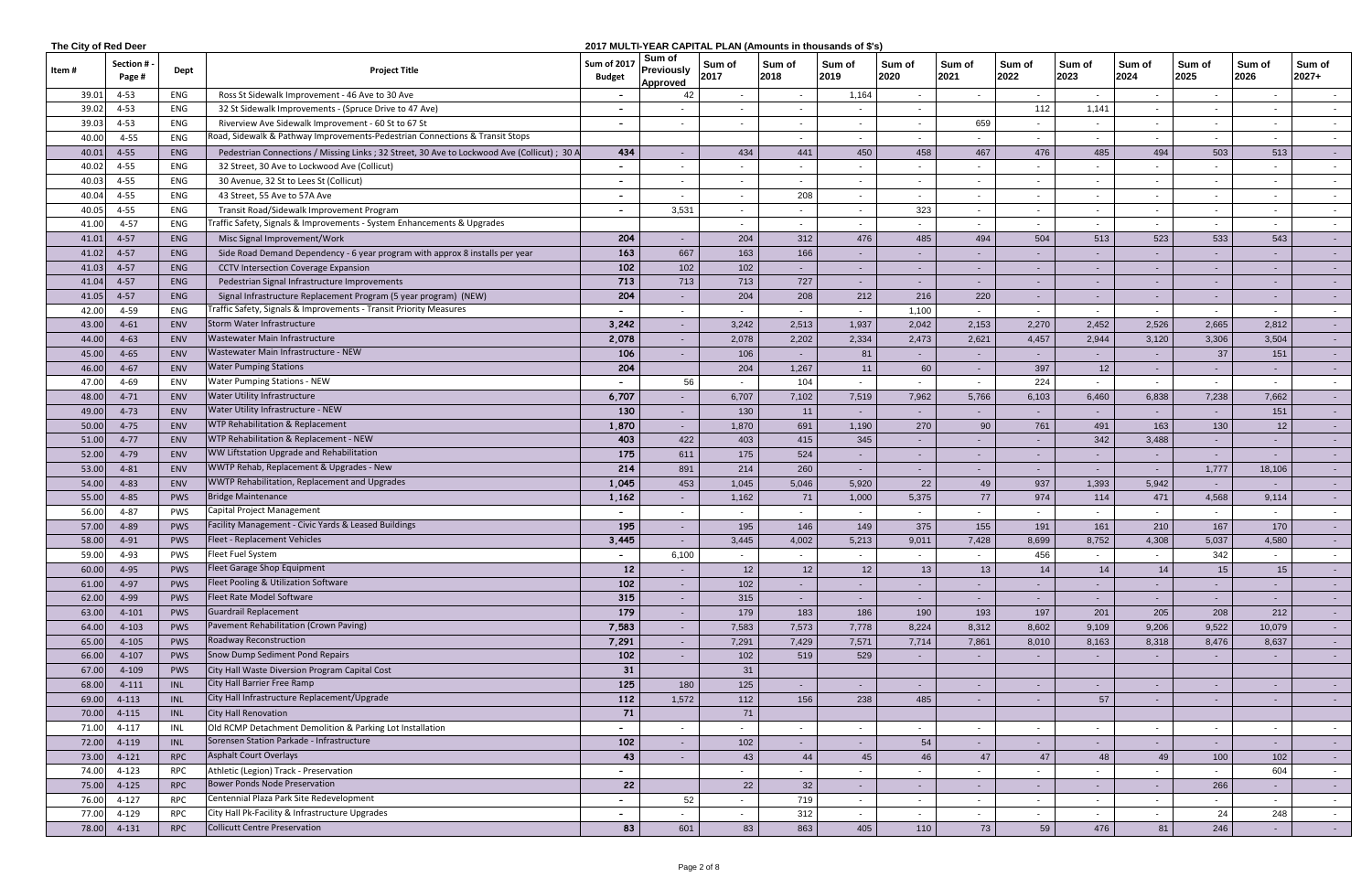| 2017 MULTI-YEAR CAPITAL PLAN (Amounts in thousands of \$'s)<br>The City of Red Deer |                           |            |                                                                                              |                                     |                                         |                |                          |                |                |                          |                          |                 |                          |                |                |                   |
|-------------------------------------------------------------------------------------|---------------------------|------------|----------------------------------------------------------------------------------------------|-------------------------------------|-----------------------------------------|----------------|--------------------------|----------------|----------------|--------------------------|--------------------------|-----------------|--------------------------|----------------|----------------|-------------------|
| Item #                                                                              | <b>Section#</b><br>Page # | Dept       | <b>Project Title</b>                                                                         | <b>Sum of 2017</b><br><b>Budget</b> | Sum of<br><b>Previously</b><br>Approved | Sum of<br>2017 | Sum of<br>2018           | Sum of<br>2019 | Sum of<br>2020 | Sum of<br>2021           | Sum of<br>2022           | Sum of<br>2023  | Sum of<br>2024           | Sum of<br>2025 | Sum of<br>2026 | Sum of<br>$2027+$ |
| 39.01                                                                               | $4 - 53$                  | ENG        | Ross St Sidewalk Improvement - 46 Ave to 30 Ave                                              |                                     | 42                                      |                | $\sim$                   | 1,164          |                |                          |                          | $\sim$          |                          |                | $\sim$         |                   |
| 39.02                                                                               | $4 - 53$                  | ENG        | 32 St Sidewalk Improvements - (Spruce Drive to 47 Ave)                                       |                                     |                                         |                | $\sim$                   |                | $\sim$         |                          | 112                      | 1,141           |                          |                | $\sim$         | $\sim$            |
| 39.03                                                                               | $4 - 53$                  | ENG        | Riverview Ave Sidewalk Improvement - 60 St to 67 St                                          |                                     |                                         |                |                          |                | $\sim$         | 659                      |                          | $\sim$          |                          |                | $\sim$         |                   |
| 40.00                                                                               | $4 - 55$                  | ENG        | Road, Sidewalk & Pathway Improvements-Pedestrian Connections & Transit Stops                 |                                     |                                         |                | $\overline{\phantom{0}}$ |                | $\sim$         |                          |                          | $\sim$          |                          |                | $\sim$         | $\sim$ 100 $\mu$  |
| 40.01                                                                               | $4 - 55$                  | ENG        | Pedestrian Connections / Missing Links ; 32 Street, 30 Ave to Lockwood Ave (Collicut) ; 30 A | 434                                 |                                         | 434            | 441                      | 450            | 458            | 467                      | 476                      | 485             | 494                      | 503            | 513            | $\sim$ 10 $\pm$   |
| 40.02                                                                               | $4 - 55$                  | ENG        | 32 Street, 30 Ave to Lockwood Ave (Collicut)                                                 |                                     |                                         |                |                          |                |                |                          |                          |                 |                          |                | $\sim$         | $\sim$            |
| 40.0                                                                                | $4 - 55$                  | ENG        | 30 Avenue, 32 St to Lees St (Collicut)                                                       |                                     | $\sim$                                  | $\blacksquare$ | $\sim$                   | $\sim$         | $\sim$         | $\sim$                   |                          | $\sim$          |                          |                | $\sim$         | $\sim$ 100 $\mu$  |
| 40.04                                                                               | $4 - 55$                  | ENG        | 43 Street, 55 Ave to 57A Ave                                                                 |                                     |                                         | $\blacksquare$ | 208                      | $\sim$         | $\sim$         | $\sim$                   |                          | $\sim$          |                          |                | $\sim$         | $\sim$ $-$        |
| 40.05                                                                               | $4 - 55$                  | ENG        | Transit Road/Sidewalk Improvement Program                                                    | $\overline{\phantom{0}}$            | 3,531                                   |                | $\sim$                   |                | 323            |                          |                          | $\sim$          |                          |                | $\sim$         | $\sim$ $-$        |
| 41.00                                                                               | $4 - 57$                  | ENG        | Traffic Safety, Signals & Improvements - System Enhancements & Upgrades                      |                                     |                                         |                |                          |                | $\sim$         |                          |                          | $\sim$          |                          |                | $\sim$         |                   |
| 41.01                                                                               | $4 - 57$                  | ENG        | Misc Signal Improvement/Work                                                                 | 204                                 |                                         | 204            | 312                      | 476            | 485            | 494                      | 504                      | 513             | 523                      | 533            | 543            | $\sim$ 10 $\pm$   |
| 41.02                                                                               | $4 - 57$                  | ENG        | Side Road Demand Dependency - 6 year program with approx 8 installs per year                 | 163                                 | 667                                     | 163            | 166                      |                |                |                          |                          | $\sim$          |                          |                | $\sim$         | $\sim 100$        |
| 41.03                                                                               | $4 - 57$                  | ENG        | <b>CCTV Intersection Coverage Expansion</b>                                                  | 102                                 | 102                                     | 102            | $\sim$ $-$               | $\sim$         | $\sim$         | $\sim$                   | $\sim$                   | $\sim$ $-$      |                          |                | $\sim$         | $\sim$ 10 $\pm$   |
| 41.04                                                                               | $4 - 57$                  | ENG        | Pedestrian Signal Infrastructure Improvements                                                | 713                                 | 713                                     | 713            | 727                      | $\sim$         | $\sim$         | $\sim$                   |                          | $\sim$          |                          |                | ٠              | $\sim$ $-$        |
| 41.05                                                                               | $4 - 57$                  | ENG        | Signal Infrastructure Replacement Program (5 year program) (NEW)                             | 204                                 |                                         | 204            | 208                      | 212            | 216            | 220                      |                          | $\sim$          |                          |                | $\sim$         | $\sim$ 10 $\pm$   |
| 42.00                                                                               | $4 - 59$                  | ENG        | Traffic Safety, Signals & Improvements - Transit Priority Measures                           |                                     |                                         |                | $\sim$                   |                | 1,100          | $\sim$                   | $\sim$                   | $\sim$          |                          |                | $\sim$         | $\sim$            |
| 43.00                                                                               | $4 - 61$                  | ENV        | Storm Water Infrastructure                                                                   | 3,242                               |                                         | 3,242          | 2,513                    | 1,937          | 2,042          | 2,153                    | 2,270                    | 2,452           | 2,526                    | 2,665          | 2,812          | $\sim$            |
| 44.00                                                                               | $4 - 63$                  | <b>ENV</b> | Wastewater Main Infrastructure                                                               | 2,078                               |                                         | 2,078          | 2,202                    | 2,334          | 2,473          | 2,621                    | 4,457                    | 2,944           | 3,120                    | 3,306          | 3,504          | $\sim 100$        |
| 45.00                                                                               | $4 - 65$                  | <b>ENV</b> | Wastewater Main Infrastructure - NEW                                                         | 106                                 |                                         | 106            | $\sim$                   | 81             | $\sim$         | $\sim$                   |                          | $\sim$          |                          | 37             | 151            | $\sim 100$        |
| 46.00                                                                               | $4 - 67$                  | <b>ENV</b> | <b>Water Pumping Stations</b>                                                                | 204                                 |                                         | 204            | 1,267                    | 11             | 60             | $\sim$                   | 397                      | 12              | $\sim$                   | $\sim$         | $\sim$         | $\sim 100$        |
| 47.00                                                                               | $4 - 69$                  | ENV        | <b>Water Pumping Stations - NEW</b>                                                          |                                     | 56                                      | $\sim$         | 104                      |                | $\sim$         | $\sim$                   | 224                      | $\sim$          |                          |                | $\sim$         | $\sim$ 100 $\mu$  |
| 48.00                                                                               | $4 - 71$                  | ENV        | <b>Water Utility Infrastructure</b>                                                          | 6,707                               |                                         | 6,707          | 7,102                    | 7,519          | 7,962          | 5,766                    | 6,103                    | 6,460           | 6,838                    | 7,238          | 7,662          | $\sim$ $-$        |
| 49.00                                                                               | $4 - 73$                  | ENV        | Water Utility Infrastructure - NEW                                                           | 130                                 | $\sim$                                  | 130            | 11                       |                | $\sim$         | $\sim$                   |                          | $\sim$ $-$      |                          |                | 151            | $\sim$ $-$        |
| 50.00                                                                               | $4 - 75$                  | ENV        | WTP Rehabilitation & Replacement                                                             | 1,870                               | $\sim$                                  | 1,870          | 691                      | 1,190          | 270            | 90                       | 761                      | 491             | 163                      | 130            | 12             |                   |
| 51.00                                                                               | $4 - 77$                  | ENV        | WTP Rehabilitation & Replacement - NEW                                                       | 403                                 | 422                                     | 403            | 415                      | 345            | $\sim$         | $\sim$                   |                          | 342             | 3,488                    |                | $\sim$         | $\sim 100$        |
| 52.00                                                                               | $4 - 79$                  | <b>ENV</b> | WW Liftstation Upgrade and Rehabilitation                                                    | 175                                 | 611                                     | 175            | 524                      |                | $\sim$         |                          |                          | $\sim$          |                          |                | $\blacksquare$ |                   |
| 53.00                                                                               | $4 - 81$                  | <b>ENV</b> | WWTP Rehab, Replacement & Upgrades - New                                                     | 214                                 | 891                                     | 214            | 260                      | $\sim$         | $\sim$         | $\sim$                   | $\sim$                   | $\sim$          | $\sim$                   | 1,777          | 18,106         | $\sim$ 10 $\pm$   |
| 54.00                                                                               | $4 - 83$                  | <b>ENV</b> | WWTP Rehabilitation, Replacement and Upgrades                                                | 1,045                               | 453                                     | 1,045          | 5,046                    | 5,920          | 22             | 49                       | 937                      | 1,393           | 5,942                    |                | $\sim$         | $\sim 100$        |
| 55.00                                                                               | $4 - 85$                  | PWS        | <b>Bridge Maintenance</b>                                                                    | 1,162                               |                                         | 1,162          | 71                       | 1,000          | 5,375          | 77                       | 974                      | 114             | 471                      | 4,568          | 9,114          | $\sim$ $-$        |
| 56.00                                                                               | $4 - 87$                  | PWS        | <b>Capital Project Management</b>                                                            |                                     |                                         |                | $\sim$                   |                |                |                          |                          | $\sim$          |                          |                | $\sim$         | $\sim$ $-$        |
| 57.00                                                                               | 4-89                      | <b>PWS</b> | Facility Management - Civic Yards & Leased Buildings                                         | 195                                 |                                         | 195            | 146                      | 149            | 375            | 155                      | 191                      | 161             | 210                      | 167            | 170            |                   |
| 58.00                                                                               | $4 - 91$                  | PWS        | Fleet - Replacement Vehicles                                                                 | 3,445                               |                                         | 3,445          | 4,002                    | 5,213          | 9,011          | 7,428                    | 8,699                    | 8,752           | 4,308                    | 5,037          | 4,580          | <b>Service</b>    |
| 59.00                                                                               | 4-93                      | PWS        | Fleet Fuel System                                                                            | $\sim$                              | 6,100                                   | $\sim$         |                          |                |                |                          | 456                      |                 |                          | 342            | $\sim$         |                   |
| 60.00                                                                               | $4 - 95$                  | PWS        | Fleet Garage Shop Equipment                                                                  | 12                                  |                                         | 12             | 12                       | 12             | 13             | 13                       | 14                       | 14              | 14                       | 15             | 15             | $\sim$ $-$        |
| 61.00                                                                               | $4 - 97$                  | PWS        | Fleet Pooling & Utilization Software                                                         | 102                                 | $\sim$                                  | 102            | $\sim$ $-$               |                | $\sim$         | $\sim$                   |                          | $\sim$ 10 $\pm$ |                          |                | $\sim$         | $\sim 100$        |
| 62.00                                                                               | 4-99                      | PWS        | Fleet Rate Model Software                                                                    | 315                                 |                                         | 315            | $\sim$                   | $\sim$         | $\sim$         | $\sim$                   |                          | $\sim$ 10 $\pm$ | $\sim$                   |                | $\sim$         | $\sim 100$        |
| 63.00                                                                               | $4 - 101$                 | <b>PWS</b> | <b>Guardrail Replacement</b>                                                                 | 179                                 | $\sim$                                  | 179            | 183                      | 186            | 190            | 193                      | 197                      | 201             | 205                      | 208            | 212            | $\sim$            |
| 64.00                                                                               | $4 - 103$                 | PWS        | Pavement Rehabilitation (Crown Paving)                                                       | 7,583                               | $\sim$                                  | 7,583          | 7,573                    | 7,778          | 8,224          | 8,312                    | 8,602                    | 9,109           | 9,206                    | 9,522          | 10,079         | $\sim$ $-$        |
| 65.00                                                                               | $4 - 105$                 | PWS        | Roadway Reconstruction                                                                       | 7,291                               | $\sim$                                  | 7,291          | 7,429                    | 7,571          | 7,714          | 7,861                    | 8,010                    | 8,163           | 8,318                    | 8,476          | 8,637          | $\sim$ 10 $\pm$   |
| 66.00                                                                               | $4 - 107$                 | PWS        | Snow Dump Sediment Pond Repairs                                                              | 102                                 |                                         | 102            | 519                      | 529            | $\sim$         |                          |                          | $\sim$          |                          |                | $\sim$         | $\sim$ $-$        |
| 67.00                                                                               | 4-109                     | PWS        | City Hall Waste Diversion Program Capital Cost                                               | 31                                  |                                         | 31             |                          |                |                |                          |                          |                 |                          |                |                |                   |
| 68.00                                                                               | 4-111                     | <b>INL</b> | City Hall Barrier Free Ramp                                                                  | 125                                 | 180                                     | 125            | $\sim$                   |                | $\sim$         | $\sim$                   | $\sim$                   | $\sim$ $-$      |                          |                | $\sim$         | $\sim$ 10 $\pm$   |
| 69.00                                                                               | $4 - 113$                 | <b>INL</b> | City Hall Infrastructure Replacement/Upgrade                                                 | 112                                 | 1,572                                   | 112            | 156                      | 238            | 485            | $\sim$                   |                          | 57              |                          |                | $\blacksquare$ | $\sim$ $-$        |
| 70.00                                                                               | $4 - 115$                 | <b>INL</b> | City Hall Renovation                                                                         | 71                                  |                                         | 71             |                          |                |                |                          |                          |                 |                          |                |                |                   |
| 71.00                                                                               | 4-117                     | INL        | Old RCMP Detachment Demolition & Parking Lot Installation                                    |                                     |                                         |                | $\sim$                   |                |                |                          |                          | $\sim$          |                          |                | $\sim$         |                   |
| 72.00                                                                               | 4-119                     | <b>INL</b> | Sorensen Station Parkade - Infrastructure                                                    | 102                                 | $\sim$                                  | 102            | $\sim$                   | $\sim$         | 54             | $\sim$                   | $\sim$                   | $\sim$ $-$      | - 1                      | $\sim$         | $\sim$         | $\sim$ 10 $\pm$   |
| 73.00                                                                               | $4-121$                   | <b>RPC</b> | Asphalt Court Overlays                                                                       | 43                                  |                                         | 43             | 44                       | 45             | 46             | 47                       | 47                       | 48              | 49                       | 100            | 102            | $\sim$ $-$        |
| 74.00                                                                               | $4 - 123$                 | <b>RPC</b> | Athletic (Legion) Track - Preservation                                                       | $\blacksquare$                      |                                         | $\sim$         | $\overline{\phantom{0}}$ |                |                | $\overline{\phantom{a}}$ |                          | $\sim$          |                          |                | 604            | $\sim$ $-$        |
| 75.00                                                                               | $4 - 125$                 | <b>RPC</b> | Bower Ponds Node Preservation                                                                | 22                                  |                                         | 22             | 32                       | $\sim$ $-$     | $\sim$         | $\sim$                   | $\sim$                   | $\sim$          | $\sim$                   | 266            | $\sim$         | $\sim 100$        |
| 76.00                                                                               | $4 - 127$                 | <b>RPC</b> | Centennial Plaza Park Site Redevelopment                                                     |                                     | 52                                      |                | 719                      | $\sim$         | $\sim$         | $\sim$                   | $\overline{\phantom{0}}$ | $\sim$          | $\overline{\phantom{0}}$ |                | $\sim$         | $\sim$ $-$        |
| 77.00                                                                               | 4-129                     | <b>RPC</b> | City Hall Pk-Facility & Infrastructure Upgrades                                              |                                     |                                         | $\sim$         | 312                      | $\sim$         | $\sim$         | $\sim$                   |                          | $\sim$          |                          | 24             | 248            | $\sim$ $-$        |
| 78.00                                                                               | 4-131                     | <b>RPC</b> | Collicutt Centre Preservation                                                                | 83                                  | 601                                     | 83             | 863                      | 405            | 110            | 73                       | 59                       | 476             | 81                       | 246            | $\sim$         | $\sim$ $-$        |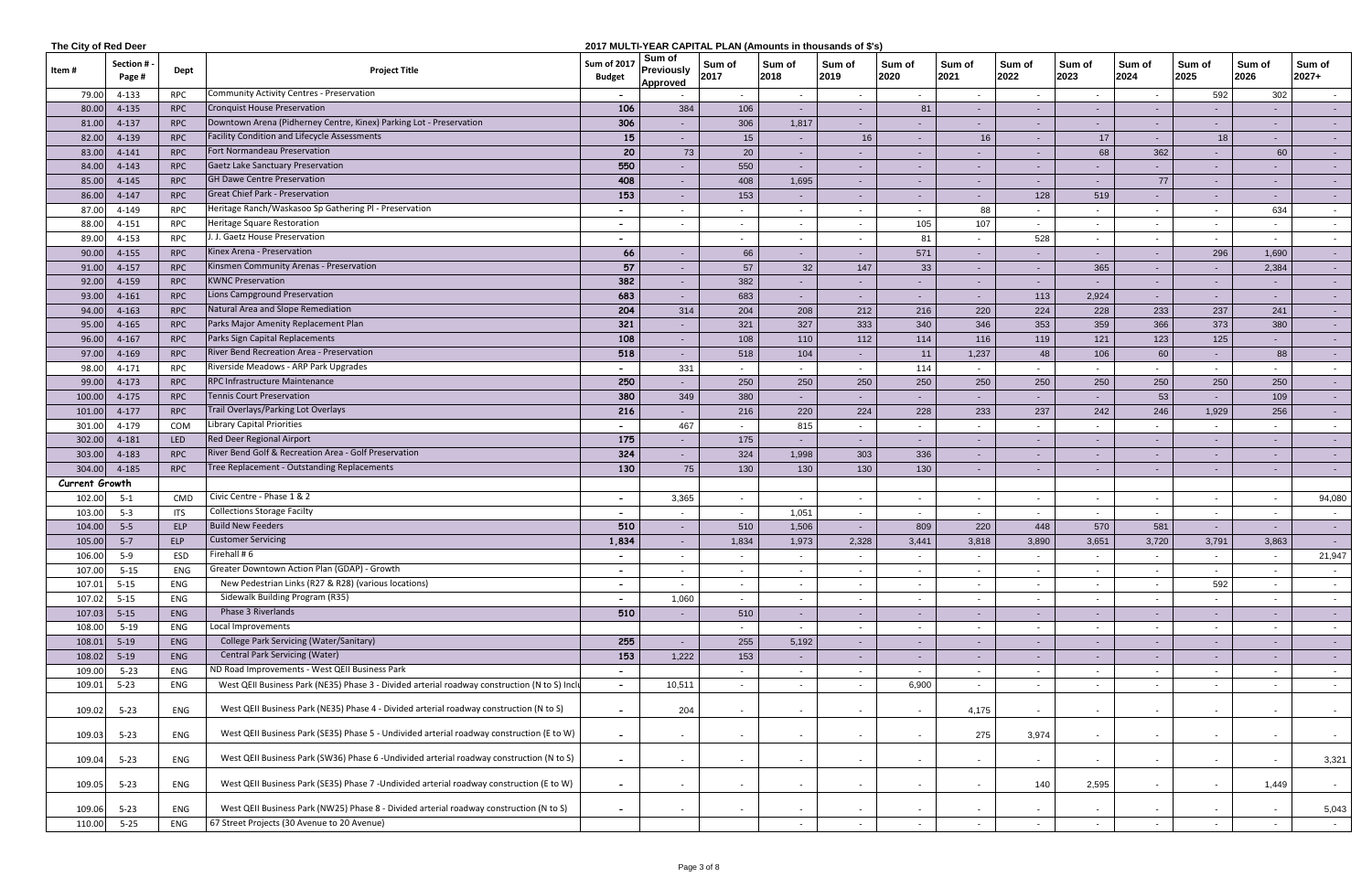|                | The City of Red Deer<br>2017 MULTI-YEAR CAPITAL PLAN (Amounts in thousands of \$'s) |            |                                                                                               |                                     |                                                |                          |                          |                |                |                          |                |                          |                          |                |                          |                     |
|----------------|-------------------------------------------------------------------------------------|------------|-----------------------------------------------------------------------------------------------|-------------------------------------|------------------------------------------------|--------------------------|--------------------------|----------------|----------------|--------------------------|----------------|--------------------------|--------------------------|----------------|--------------------------|---------------------|
| ltem #         | Section #<br>Page #                                                                 | Dept       | <b>Project Title</b>                                                                          | <b>Sum of 2017</b><br><b>Budget</b> | Sum of<br><b>Previously</b><br><b>Approved</b> | Sum of<br>2017           | Sum of<br>2018           | Sum of<br>2019 | Sum of<br>2020 | Sum of<br>2021           | Sum of<br>2022 | Sum of<br>2023           | Sum of<br>2024           | Sum of<br>2025 | Sum of<br>2026           | Sum of<br>$2027+$   |
| 79.00          | 4-133                                                                               | <b>RPC</b> | Community Activity Centres - Preservation                                                     |                                     |                                                | $\sim$                   | $\sim$                   |                | $\sim$         | $\sim$                   |                | $\sim$                   |                          | 592            | 302                      | $\sim$              |
| 80.00          | 4-135                                                                               | <b>RPC</b> | <b>Cronquist House Preservation</b>                                                           | 106                                 | 384                                            | 106                      | $\sim$                   | $\sim$         | 81             | $\sim$                   |                | $\sim$                   |                          |                | $\sim$                   | $\sim$ $-$          |
| 81.00          | 4-137                                                                               | <b>RPC</b> | Downtown Arena (Pidherney Centre, Kinex) Parking Lot - Preservation                           | 306                                 |                                                | 306                      | 1,817                    |                |                |                          |                | $\sim$                   |                          |                | $\sim$                   | $\sim$              |
| 82.00          | 4-139                                                                               | <b>RPC</b> | <b>Facility Condition and Lifecycle Assessments</b>                                           | 15                                  | $\sim$                                         | 15                       | $\sim$                   | 16             | $\sim$ $-$     | 16                       | ۰.             | 17                       | $\sim$                   | 18             | $\sim$                   | $\sim$              |
| 83.0           | 4-141                                                                               | <b>RPC</b> | Fort Normandeau Preservation                                                                  | 20                                  | 73                                             | 20                       | $\sim$                   |                | $\sim$         |                          |                | 68                       | 362                      |                | 60                       | $\sim$              |
| 84.00          | $4 - 143$                                                                           | <b>RPC</b> | Gaetz Lake Sanctuary Preservation                                                             | 550                                 | $\sim$                                         | 550                      | $\sim$                   | $\sim$         | $\sim$         | $\sim$                   | ٠              | $\sim$                   |                          |                | $\sim$                   | $\sim$ $-$          |
| 85.0           | $4 - 145$                                                                           | <b>RPC</b> | <b>GH Dawe Centre Preservation</b>                                                            | 408                                 | $\sim$                                         | 408                      | 1,695                    | $\sim$         | $\sim$         | $\sim$                   | ٠              | $\sim$                   | 77                       |                | $\sim$                   | $\sim$ $-$          |
| 86.0           | $4 - 147$                                                                           | <b>RPC</b> | Great Chief Park - Preservation                                                               | 153                                 | $\sim$                                         | 153                      | $\sim$                   | $\sim$         | $\sim$         | $\sim$                   | 128            | 519                      |                          |                | $\sim$                   | $\sim$ $-$          |
| 87.0           | 4-149                                                                               | <b>RPC</b> | Heritage Ranch/Waskasoo Sp Gathering PI - Preservation                                        |                                     |                                                |                          | $\sim$                   |                | $\sim$         | 88                       |                |                          |                          |                | 634                      | $\sim$              |
| 88.00          | $4 - 151$                                                                           | <b>RPC</b> | Heritage Square Restoration                                                                   |                                     |                                                |                          | $-$                      |                | 105            | 107                      |                | $\sim$                   |                          |                | $\sim$                   | $\sim$              |
| 89.0           | 4-153                                                                               | <b>RPC</b> | J. J. Gaetz House Preservation                                                                | $\overline{\phantom{0}}$            |                                                | $\sim$                   | $\sim$                   |                | 81             | $\overline{\phantom{a}}$ | 528            | $\sim$                   | $\sim$                   | $\sim$         | $\sim$                   | $\sim$              |
| 90.0           | $4 - 155$                                                                           | <b>RPC</b> | Kinex Arena - Preservation                                                                    | 66                                  | $\sim$                                         | 66                       | $\sim$                   | $\sim$         | 571            | $\sim$                   | $\sim$         | $\sim$                   | $\blacksquare$           | 296            | 1,690                    | $\sim$ $-$          |
| 91.00          | $4 - 157$                                                                           | <b>RPC</b> | Kinsmen Community Arenas - Preservation                                                       | 57                                  |                                                | 57                       | 32                       | 147            | 33             | $\sim$                   | $\sim$         | 365                      | ٠                        |                | 2,384                    | $\sim$ $-$          |
| 92.0           | 4-159                                                                               | <b>RPC</b> | <b>KWNC Preservation</b>                                                                      | 382                                 | $\sim$                                         | 382                      | $\sim$                   | $\sim$         | $\sim$         | $\sim$                   | $\sim$         | $\sim$                   | $\sim$                   |                | $\sim$                   | $\sim$ $-$          |
| 93.0           | $4 - 161$                                                                           | <b>RPC</b> | Lions Campground Preservation                                                                 | 683                                 | $\sim$                                         | 683                      | $\sim$                   | $\sim$         | $\sim$         | $\sim$                   | 113            | 2,924                    | $\sim$                   |                | $\sim$                   | $\sim$ $-$          |
| 94.00          | $4 - 163$                                                                           | <b>RPC</b> | Natural Area and Slope Remediation                                                            | 204                                 | 314                                            | 204                      | 208                      | 212            | 216            | 220                      | 224            | 228                      | 233                      | 237            | 241                      | $\sim$ $-$          |
| 95.00          | 4-165                                                                               | <b>RPC</b> | Parks Major Amenity Replacement Plan                                                          | 321                                 |                                                | 321                      | 327                      | 333            | 340            | 346                      | 353            | 359                      | 366                      | 373            | 380                      | $\sigma_{\rm{max}}$ |
| 96.00          | $4 - 167$                                                                           | <b>RPC</b> | Parks Sign Capital Replacements                                                               | 108                                 | $\sim$                                         | 108                      | 110                      | 112            | 114            | 116                      | 119            | 121                      | 123                      | 125            | $\sim$                   | $\sim$              |
| 97.00          | 4-169                                                                               | <b>RPC</b> | River Bend Recreation Area - Preservation                                                     | 518                                 | $\sim$                                         | 518                      | 104                      | $\sim$         | 11             | 1,237                    | 48             | 106                      | 60                       |                | 88                       | $\sim$ $-$          |
| 98.0           | 4-171                                                                               | <b>RPC</b> | Riverside Meadows - ARP Park Upgrades                                                         |                                     | 331                                            | $\sim$                   | $\sim$                   |                | 114            | $\sim$                   |                |                          |                          |                | $\sim$                   | $\sim$ $-$          |
| 99.00          | $4 - 173$                                                                           | <b>RPC</b> | RPC Infrastructure Maintenance                                                                | 250                                 | $\sim$                                         | 250                      | 250                      | 250            | 250            | 250                      | 250            | 250                      | 250                      | 250            | 250                      | $\sim$ $-$          |
| 100.0          | $4 - 175$                                                                           | <b>RPC</b> | <b>Tennis Court Preservation</b>                                                              | 380                                 | 349                                            | 380                      | $\sim$                   |                | $\sim$         | $\sim$                   |                | $\sim$                   | 53                       |                | 109                      | $\sim$ $-$          |
| 101.00         | $4 - 177$                                                                           | <b>RPC</b> | Trail Overlays/Parking Lot Overlays                                                           | 216                                 |                                                | 216                      | 220                      | 224            | 228            | 233                      | 237            | 242                      | 246                      | 1,929          | 256                      | $\sim$ $-$          |
| 301.00         | 4-179                                                                               | COM        | <b>Library Capital Priorities</b>                                                             |                                     | 467                                            | $\sim$                   | 815                      | $\sim$         | $\sim$         | $\sim$                   |                | $\overline{\phantom{0}}$ |                          |                | $\sim$                   | $\sim$              |
| 302.00         | 4-181                                                                               | <b>LED</b> | Red Deer Regional Airport                                                                     | 175                                 |                                                | 175                      | $\sim$                   | $\sim$         | $\sim$ $-$     | $\sim$                   | ۰.             | $\sim$                   |                          |                | $\sim$                   | $\sim$              |
| 303.00         | 4-183                                                                               | <b>RPC</b> | River Bend Golf & Recreation Area - Golf Preservation                                         | 324                                 |                                                | 324                      | 1,998                    | 303            | 336            | $\sim$                   |                | $\sim$                   |                          |                | $\sim$                   | $\sim$ $-$          |
| 304.00         | 4-185                                                                               | <b>RPC</b> | Tree Replacement - Outstanding Replacements                                                   | 130                                 | 75                                             | 130                      | 130                      | 130            | 130            | $\sim$                   | $\sim$         | $\sim$                   | $\sim$                   |                | $\sim$                   | $\sim$              |
| Current Growth |                                                                                     |            |                                                                                               |                                     |                                                |                          |                          |                |                |                          |                |                          |                          |                |                          |                     |
| 102.00         | $5 - 1$                                                                             | CMD        | Civic Centre - Phase 1 & 2                                                                    |                                     | 3,365                                          | $\sim$                   | $\sim$                   | $\sim$         | $\sim$         | $\sim$                   | $\blacksquare$ | $\sim$                   | $\blacksquare$           |                | $\sim$                   | 94,080              |
| 103.00         | $5-3$                                                                               | <b>ITS</b> | <b>Collections Storage Facilty</b>                                                            |                                     |                                                | $\sim$                   | 1,051                    |                | $\sim$         | $\sim$                   |                | $\sim$                   |                          |                | $\sim$                   | $\sim$              |
| 104.00         | $5-5$                                                                               | ELP        | <b>Build New Feeders</b>                                                                      | 510                                 |                                                | 510                      | 1,506                    |                | 809            | 220                      | 448            | 570                      | 581                      |                |                          | $\sim$              |
| 105.00         | $5 - 7$                                                                             | ELP        | <b>Customer Servicing</b>                                                                     | 1,834                               |                                                | 1,834                    | 1,973                    | 2,328          | 3,441          | 3,818                    | 3,890          | 3,651                    | 3,720                    | 3,791          | 3,863                    | <b>Section</b>      |
| 106.00         | $5-9$                                                                               | ESD        | Firehall # $6$                                                                                |                                     |                                                |                          | $\sim$                   |                | $\sim$         |                          |                | $\sim$                   |                          |                | $\sim$                   | 21,947              |
| 107.00         | $5 - 15$                                                                            | ENG        | Greater Downtown Action Plan (GDAP) - Growth                                                  | $\overline{\phantom{a}}$            | $\sim$                                         | $\sim$                   | $\sim$                   | $\sim$         | $\sim$         | $\sim$                   | $\sim$         | $\sim$                   | $\overline{\phantom{a}}$ | $\sim$         | $\sim$                   | $\sim$ $-$          |
| 107.01         | $5 - 15$                                                                            | ENG        | New Pedestrian Links (R27 & R28) (various locations)                                          | $\blacksquare$                      | $\sim$                                         | $\sim$                   | $\sim$                   | $\sim$         | $\sim$         | $\sim$                   | $\sim$         | $\sim$                   | $\overline{\phantom{a}}$ | 592            | $\sim$                   | $\sim$ 100 $\mu$    |
| 107.02         | $5 - 15$                                                                            | ENG        | Sidewalk Building Program (R35)                                                               |                                     | 1,060                                          | $\sim$                   | $\sim$                   | $\sim$         | $\sim$         | $\sim$                   |                | $\sim$                   | $\blacksquare$           |                | $\sim$                   | $\sim$              |
| 107.03         | $5 - 15$                                                                            | ENG        | Phase 3 Riverlands                                                                            | 510                                 |                                                | 510                      | $\sim$                   | $\sim$         | $\sim$         | $\sim$                   |                | $\sim$                   |                          |                | $\sim$                   | $\sim$ 100 $\pm$    |
| 108.00         | $5 - 19$                                                                            | ENG        | Local Improvements                                                                            |                                     |                                                |                          | $\sim$                   |                | $\sim$         |                          |                | $\sim$                   |                          |                | $\sim$                   | $\sim$              |
| 108.01         | $5-19$                                                                              | ENG        | College Park Servicing (Water/Sanitary)                                                       | 255                                 |                                                | 255                      | 5,192                    | $\sim$         | $\sim$         | $\sim$                   |                | $\sim$                   |                          |                | ٠                        | $\sim$              |
| 108.02         | $5-19$                                                                              | ENG        | <b>Central Park Servicing (Water)</b>                                                         | 153                                 | 1,222                                          | 153                      | $\sim$                   | $\sim$         | $\sim$         | $\sim$                   |                | $\sim$                   |                          |                | $\blacksquare$           | $\sim$ $-$          |
| 109.00         | $5 - 23$                                                                            | ENG        | ND Road Improvements - West QEII Business Park                                                |                                     |                                                | $\sim$                   | $\sim$                   | $\sim$         | $\sim$         | $\sim$                   | $\sim$         | $\sim$                   | $\sim$                   | $\sim$         | $\sim$                   | $\sim$              |
| 109.01         | $5 - 23$                                                                            | ENG        | West QEII Business Park (NE35) Phase 3 - Divided arterial roadway construction (N to S) Inclu | $\sim$                              | 10,511                                         | $\sim$                   | $\sim$                   | $\sim$         | 6,900          | $\sim$                   |                | $\sim$                   | $\overline{\phantom{a}}$ | $\sim$         | $\sim$                   | $\sim$              |
| 109.02         | $5 - 23$                                                                            | ENG        | West QEII Business Park (NE35) Phase 4 - Divided arterial roadway construction (N to S)       |                                     | 204                                            |                          | $\overline{\phantom{a}}$ |                |                | 4,175                    |                | $\sim$                   |                          |                | $\overline{\phantom{a}}$ | $\sim$ $-$          |
| 109.03         | $5 - 23$                                                                            | ENG        | West QEII Business Park (SE35) Phase 5 - Undivided arterial roadway construction (E to W)     | $\sim$                              |                                                | $\sim$                   | $\sim$                   | $\sim$         | $\sim$         | 275                      | 3,974          | $\sim$                   |                          |                | $\sim$                   | $\sim$              |
| 109.04         | $5 - 23$                                                                            | ENG        | West QEII Business Park (SW36) Phase 6 - Undivided arterial roadway construction (N to S)     | $\sim$                              | $\sim$                                         | $\sim$                   | $\sim$                   | $\sim$         | $\sim$         | $\sim$                   | $\blacksquare$ | $\sim$                   | $\blacksquare$           | $\sim$         | $\sim$                   | 3,321               |
|                |                                                                                     |            | West QEII Business Park (SE35) Phase 7 - Undivided arterial roadway construction (E to W)     |                                     |                                                |                          |                          |                |                |                          |                |                          |                          |                |                          |                     |
| 109.05         | $5 - 23$                                                                            | ENG        |                                                                                               | $\sim$                              | $\sim$                                         | $\overline{\phantom{a}}$ | $\sim$                   | $\sim$         | $\sim$         | $\sim$                   | 140            | 2,595                    | $\blacksquare$           | $\sim$         | 1,449                    | $\sim$              |
| 109.06         | $5 - 23$                                                                            | ENG        | West QEII Business Park (NW25) Phase 8 - Divided arterial roadway construction (N to S)       | $\blacksquare$                      | $\sim$                                         |                          | $-$                      |                | $\sim$         | $\sim$                   |                | $\sim$                   |                          |                | $\sim$                   | 5,043               |
| 110.00         | $5 - 25$                                                                            | ENG        | 67 Street Projects (30 Avenue to 20 Avenue)                                                   |                                     |                                                |                          | $\sim$                   | $\sim$         | $\sim$         | $\sim$                   | $\sim$         | $\sim$                   | $\sim$                   | $\sim$         | $\sim$                   | $\sim$              |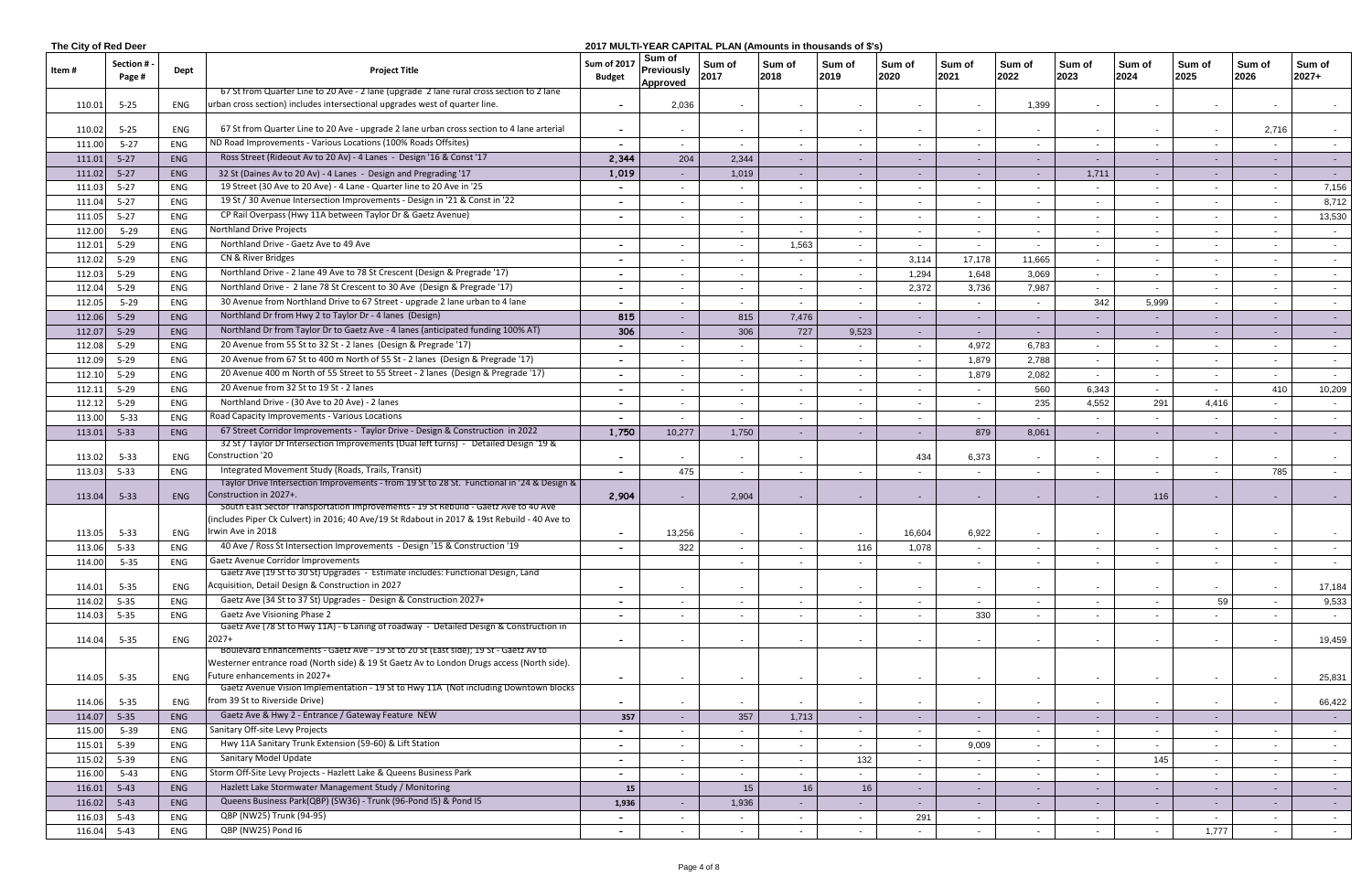| The City of Red Deer |                     |            |                                                                                                                                                                                    |                                     |                                         | 2017 MULTI-YEAR CAPITAL PLAN (Amounts in thousands of \$'s) |                |                |                 |                          |                |                 |                |                |                |                  |
|----------------------|---------------------|------------|------------------------------------------------------------------------------------------------------------------------------------------------------------------------------------|-------------------------------------|-----------------------------------------|-------------------------------------------------------------|----------------|----------------|-----------------|--------------------------|----------------|-----------------|----------------|----------------|----------------|------------------|
| ltem #               | Section #<br>Page # | Dept       | <b>Project Title</b>                                                                                                                                                               | <b>Sum of 2017</b><br><b>Budget</b> | Sum of<br><b>Previously</b><br>Approved | Sum of<br>2017                                              | Sum of<br>2018 | Sum of<br>2019 | Sum of<br>2020  | Sum of<br>2021           | Sum of<br>2022 | Sum of<br>2023  | Sum of<br>2024 | Sum of<br>2025 | Sum of<br>2026 | Sum of<br>2027+  |
|                      |                     |            | 67 St from Quarter Line to 20 Ave - 2 lane (upgrade 2 lane rural cross section to 2 lane                                                                                           |                                     |                                         |                                                             |                |                |                 |                          |                |                 |                |                |                |                  |
| 110.01               | $5 - 25$            | ENG        | urban cross section) includes intersectional upgrades west of quarter line.                                                                                                        | $\overline{\phantom{0}}$            | 2,036                                   |                                                             |                |                |                 | $\sim$                   | 1,399          | $\sim$          |                |                | $\sim$         |                  |
|                      |                     |            |                                                                                                                                                                                    |                                     |                                         |                                                             |                |                |                 |                          |                |                 |                |                |                |                  |
| 110.02               | $5 - 25$            | ENG        | 67 St from Quarter Line to 20 Ave - upgrade 2 lane urban cross section to 4 lane arterial                                                                                          | $\sim$                              | $\sim$                                  |                                                             | $\sim$         |                |                 | $\sim$                   |                | $\sim$          |                |                | 2,716          |                  |
| 111.00               | $5 - 27$            | ENG        | ND Road Improvements - Various Locations (100% Roads Offsites)                                                                                                                     |                                     | $\sim$                                  | $\overline{\phantom{a}}$                                    | $\sim$         |                | $\sim$          | $\sim$                   |                | $\sim$          |                |                | $\sim$         | $\sim$           |
| 111.01               | $5 - 27$            | ENG        | Ross Street (Rideout Av to 20 Av) - 4 Lanes - Design '16 & Const '17                                                                                                               | 2,344                               | 204                                     | 2,344                                                       | $\sim$         |                | $\sim$          | $\sim$                   |                | $\sim$ $-$      |                |                | $\sim$         | $\sim 100$       |
| 111.02               | $5-27$              | ENG        | 32 St (Daines Av to 20 Av) - 4 Lanes - Design and Pregrading '17                                                                                                                   | 1,019                               |                                         | 1,019                                                       | $\sim$         |                |                 |                          |                | 1,711           |                |                | $\blacksquare$ | $\sim$ 10 $\pm$  |
| 111.03               | $5 - 27$            | ENG        | 19 Street (30 Ave to 20 Ave) - 4 Lane - Quarter line to 20 Ave in '25                                                                                                              | $\overline{\phantom{0}}$            | $\sim$                                  | $\sim$                                                      | $\sim$         |                | $\sim$          | $\sim$                   |                | $\sim$          |                |                | $\sim$         | 7,156            |
| 111.04               | $5 - 27$            | ENG        | 19 St / 30 Avenue Intersection Improvements - Design in '21 & Const in '22                                                                                                         |                                     | $\sim$                                  | $\blacksquare$                                              | $\sim$         | $\sim$         | $\sim$          | $\sim$                   | $\sim$         | $\sim$          | $\sim$         |                | $\sim$         | 8,712            |
| 111.05               | $5 - 27$            | ENG        | CP Rail Overpass (Hwy 11A between Taylor Dr & Gaetz Avenue)                                                                                                                        |                                     | $\sim$                                  | $\sim$                                                      | $\sim$         | $\sim$         | $\sim$ 10 $\pm$ | $\sim$                   |                | $\sim$          | $\sim$         |                | $\sim$         | 13,530           |
| 112.00               | $5 - 29$            | ENG        | Northland Drive Projects                                                                                                                                                           |                                     |                                         | $\blacksquare$                                              | $\sim$         |                | $\sim$          | $\sim$                   |                | $\sim$          |                |                | $\sim$         | $\sim$           |
| 112.01               | $5 - 29$            | ENG        | Northland Drive - Gaetz Ave to 49 Ave                                                                                                                                              |                                     |                                         | $\blacksquare$                                              | 1,563          |                | $\sim$          | $\sim$                   |                | $\sim$          |                |                | $\sim$         | $\sim$           |
| 112.02               | $5 - 29$            | ENG        | CN & River Bridges                                                                                                                                                                 |                                     | $\sim$                                  | $\blacksquare$                                              | $\sim$         | $\sim$         | 3,114           | 17,178                   | 11,665         | $\sim$          | $\sim$         | $\sim$         | $\sim$         | $\sim$ 100 $\mu$ |
| 112.03               | $5 - 29$            | ENG        | Northland Drive - 2 lane 49 Ave to 78 St Crescent (Design & Pregrade '17)                                                                                                          |                                     |                                         | $\blacksquare$                                              | $\sim$         |                | 1,294           | 1,648                    | 3,069          | $\sim$          |                |                | $\sim$         | $\sim$           |
| 112.04               | $5 - 29$            | ENG        | Northland Drive - 2 lane 78 St Crescent to 30 Ave (Design & Pregrade '17)                                                                                                          |                                     | $\sim$                                  | $\blacksquare$                                              | $\sim$         |                | 2,372           | 3,736                    | 7,987          | $\sim$          |                |                | $\sim$         | $\sim$ $-$       |
| 112.05               | $5 - 29$            | ENG        | 30 Avenue from Northland Drive to 67 Street - upgrade 2 lane urban to 4 lane                                                                                                       |                                     | $\sim$                                  | $\sim$                                                      | $\sim$         |                |                 | $\sim$                   | $\sim$         | 342             | 5,999          |                | $\sim$         |                  |
| 112.06               | $5 - 29$            | ENG        | Northland Dr from Hwy 2 to Taylor Dr - 4 lanes (Design)                                                                                                                            | 815                                 | $\sim$                                  | 815                                                         | 7,476          | $\sim$ .       | $\sim$ $-$      | $\sim$                   |                | $\sim$ 10 $\pm$ |                |                | $\sim$         | $\sim 100$       |
| 112.07               | $5 - 29$            | <b>ENG</b> | Northland Dr from Taylor Dr to Gaetz Ave - 4 lanes (anticipated funding 100% AT)                                                                                                   | 306                                 | $\sim$                                  | 306                                                         | 727            | 9,523          | $\sim$          | $\sim$                   |                | $\sim$          |                |                | $\sim$         | $\sim 100$       |
| 112.08               | $5 - 29$            | ENG        | 20 Avenue from 55 St to 32 St - 2 lanes (Design & Pregrade '17)                                                                                                                    |                                     |                                         |                                                             | $\sim$         |                | $\sim$          | 4,972                    | 6,783          | $\sim$          |                |                | $\sim$         | $\sim$ $-$       |
|                      |                     |            | 20 Avenue from 67 St to 400 m North of 55 St - 2 lanes (Design & Pregrade '17)                                                                                                     |                                     |                                         |                                                             |                |                |                 |                          | 2,788          |                 |                |                | $\sim$         |                  |
| 112.09               | $5 - 29$            | ENG        | 20 Avenue 400 m North of 55 Street to 55 Street - 2 lanes (Design & Pregrade '17)                                                                                                  | $\overline{\phantom{0}}$            | $\sim$                                  | $\blacksquare$                                              | $\sim$         |                | $\sim$          | 1,879                    |                | $\sim$          | $\sim$         | $\sim$         |                | $\sim$ 100 $\mu$ |
| 112.10               | $5 - 29$            | ENG        |                                                                                                                                                                                    |                                     |                                         | $\blacksquare$                                              | $\sim$         |                | $\sim$          | 1,879                    | 2,082          | $\sim$          |                |                | $\sim$         | $\sim$           |
| 112.11               | $5 - 29$            | ENG        | 20 Avenue from 32 St to 19 St - 2 lanes                                                                                                                                            | $\overline{\phantom{0}}$            | $\sim$                                  | $\sim$                                                      | $\sim$         |                |                 | $\sim$                   | 560            | 6,343           | $\blacksquare$ |                | 410            | 10,209           |
| 112.12               | $5 - 29$            | ENG        | Northland Drive - (30 Ave to 20 Ave) - 2 lanes                                                                                                                                     |                                     | $\sim$                                  | $\blacksquare$                                              |                |                |                 | $\sim$                   | 235            | 4,552           | 291            | 4,416          | $\sim$         | $\sim$           |
| 113.00               | $5 - 33$            | ENG        | Road Capacity Improvements - Various Locations                                                                                                                                     |                                     | $\sim$                                  | $\blacksquare$                                              | $\sim$         | $\sim$         | $\sim$          | $\sim$                   |                | $\sim$          |                |                | $\sim$         | $\sim$ 100 $\mu$ |
| 113.01               | $5 - 33$            | <b>ENG</b> | 67 Street Corridor Improvements - Taylor Drive - Design & Construction in 2022                                                                                                     | 1,750                               | 10,277                                  | 1,750                                                       | $\sim$         |                | $\sim$          | 879                      | 8,061          | $\sim$          |                |                | $\sim$         | $\sim 100$       |
|                      |                     | ENG        | 32 St / Taylor Dr Intersection Improvements (Dual left turns) - Detailed Design '19 &<br>Construction '20                                                                          |                                     |                                         |                                                             |                |                |                 |                          |                |                 |                |                |                |                  |
| 113.02               | $5 - 33$            |            | Integrated Movement Study (Roads, Trails, Transit)                                                                                                                                 | $\overline{\phantom{a}}$            |                                         | $\blacksquare$                                              |                |                | 434             | 6,373                    |                | $\sim$          |                |                | $\sim$         | $\sim$ 100 $\mu$ |
| 113.03               | $5 - 33$            | ENG        | Taylor Drive Intersection Improvements - from 19 St to 28 St. Functional in '24 & Design &                                                                                         | $\sim$                              | 475                                     | $\blacksquare$                                              | $\sim$         | $\sim$         | $\sim$          | $\sim$                   | $\sim$         | $\sim$          | $\blacksquare$ |                | 785            | $\sim$ 100 $\mu$ |
| 113.04               | $5 - 33$            | ENG        | Construction in 2027+.<br>South East Sector Transportation Improvements - 19 St Rebuild - Gaetz Ave to 40 Ave                                                                      | 2,904                               |                                         | 2,904                                                       |                |                |                 | $\sim$                   |                | $\sim$          | 116            |                | $\sim$         |                  |
|                      |                     |            | (includes Piper Ck Culvert) in 2016; 40 Ave/19 St Rdabout in 2017 & 19st Rebuild - 40 Ave to                                                                                       |                                     |                                         |                                                             |                |                |                 |                          |                |                 |                |                |                |                  |
| 113.05               | $5 - 33$            | ENG        | Irwin Ave in 2018                                                                                                                                                                  | $\overline{\phantom{0}}$            | 13,256                                  |                                                             |                |                | 16,604          | 6,922                    |                |                 |                |                |                |                  |
| 113.06               | $5 - 33$            | ENG        | 40 Ave / Ross St Intersection Improvements - Design '15 & Construction '19                                                                                                         |                                     | 322                                     |                                                             |                | 116            | 1,078           |                          |                | $\sim$          |                |                |                |                  |
| 114.00               | $5 - 35$            | ENG        | Gaetz Avenue Corridor Improvements                                                                                                                                                 |                                     |                                         |                                                             |                |                |                 | $\sim$                   |                | $\sim$          |                |                | $\sim$         | $\sim$ $-$       |
|                      |                     |            | Gaetz Ave (19 St to 30 St) Upgrades - Estimate includes: Functional Design, Land                                                                                                   |                                     |                                         |                                                             |                |                |                 |                          |                |                 |                |                |                |                  |
| 114.01               | $5 - 35$            | ENG        | Acquisition, Detail Design & Construction in 2027                                                                                                                                  | $\overline{\phantom{a}}$            |                                         |                                                             |                |                |                 |                          |                | $\sim$          |                |                | $\sim$         | 17,184           |
| 114.02 5-35          |                     | ENG        | Gaetz Ave (34 St to 37 St) Upgrades - Design & Construction 2027+                                                                                                                  | $\sim$                              | $\sim$                                  | $\sim$                                                      | $\sim$         |                | $\sim$          |                          |                | $\sim$          |                | 59             | $\sim$         | 9,533            |
| 114.03               | $5 - 35$            | ENG        | <b>Gaetz Ave Visioning Phase 2</b>                                                                                                                                                 | $\overline{\phantom{a}}$            |                                         | $\blacksquare$                                              |                |                |                 | 330                      |                | $\sim$          |                |                | $\sim$         | <b>Contract</b>  |
|                      |                     |            | Gaetz Ave (78 St to Hwy 11A) - 6 Laning of roadway - Detailed Design & Construction in                                                                                             |                                     |                                         |                                                             |                |                |                 |                          |                |                 |                |                |                |                  |
| 114.04               | $5 - 35$            | ENG        | $2027+$                                                                                                                                                                            | $\overline{\phantom{a}}$            |                                         |                                                             |                |                |                 |                          |                | $\sim$          |                |                | $\sim$         | 19,459           |
|                      |                     |            | Boulevard Enhancements - Gaetz Ave - 19 St to 20 St (East side); 19 St - Gaetz Av to<br>Westerner entrance road (North side) & 19 St Gaetz Av to London Drugs access (North side). |                                     |                                         |                                                             |                |                |                 |                          |                |                 |                |                |                |                  |
| 114.05               | $5 - 35$            | ENG        | Future enhancements in 2027+                                                                                                                                                       |                                     |                                         |                                                             | $\sim$         |                |                 | $\overline{\phantom{a}}$ |                | $\sim$          |                |                | $\sim$         | 25,831           |
|                      |                     |            | Gaetz Avenue Vision Implementation - 19 St to Hwy 11A (Not including Downtown blocks                                                                                               |                                     |                                         |                                                             |                |                |                 |                          |                |                 |                |                |                |                  |
| 114.06               | $5 - 35$            | ENG        | from 39 St to Riverside Drive)                                                                                                                                                     |                                     |                                         |                                                             | $\sim$         |                |                 |                          |                | $\sim$          |                |                | $\sim$         | 66,422           |
| 114.07               | $5 - 35$            | <b>ENG</b> | Gaetz Ave & Hwy 2 - Entrance / Gateway Feature NEW                                                                                                                                 | 357                                 |                                         | 357                                                         | 1,713          |                | $\sim$          | $\sim$                   |                | $\sim$          |                |                |                | $\sim$ 100 $\pm$ |
| 115.00               | $5 - 39$            | ENG        | Sanitary Off-site Levy Projects                                                                                                                                                    |                                     |                                         |                                                             | $\sim$         |                | $\sim$          |                          |                | $\sim$          |                |                |                | $\sim$           |
| 115.01               | $5 - 39$            | ENG        | Hwy 11A Sanitary Trunk Extension (59-60) & Lift Station                                                                                                                            | $\overline{\phantom{a}}$            | $\sim$                                  | $\sim$                                                      | $\sim$         |                |                 | 9,009                    |                | $\sim$          |                |                | $\sim$         | $\sim$ $-$       |
| 115.02               | $5 - 39$            | ENG        | Sanitary Model Update                                                                                                                                                              |                                     |                                         | $\sim$                                                      | $\sim$         | 132            |                 | $\sim$                   |                | $\sim$          | 145            |                | $\sim$         | $\sim$ $-$       |
| 116.00               | $5 - 43$            | ENG        | Storm Off-Site Levy Projects - Hazlett Lake & Queens Business Park                                                                                                                 |                                     | $\sim$                                  | $\sim$                                                      | $\sim$         |                | $\sim$          | $\sim$                   |                | $\sim$          |                |                | $\sim$         | $\sim$ 100 $\mu$ |
| 116.01               | $5 - 43$            | ENG        | Hazlett Lake Stormwater Management Study / Monitoring                                                                                                                              | 15                                  |                                         | 15                                                          | 16             | 16             | $\sim$          | $\sim$                   |                | $\sim$          |                |                | $\sim$         | $\sim 100$       |
| 116.02 5-43          |                     | ENG        | Queens Business Park(QBP) (SW36) - Trunk (96-Pond I5) & Pond I5                                                                                                                    | 1,936                               | $\sim$                                  | 1,936                                                       |                |                | $\sim$          | $\sim$                   |                | $\sim$          |                |                | $\sim$         | $\sim$           |
| 116.03               | $5 - 43$            | ENG        | QBP (NW25) Trunk (94-95)                                                                                                                                                           |                                     | $\sim$                                  |                                                             | $\sim$         |                | 291             | $\overline{\phantom{a}}$ |                | $\sim$          |                |                | $\sim$         | $\sim$           |
|                      | 116.04 5-43         | ENG        | QBP (NW25) Pond I6                                                                                                                                                                 |                                     |                                         | $\blacksquare$                                              |                |                |                 |                          |                | $\sim$          |                | 1,777          | $\sim$         | $\sim$ $-$       |
|                      |                     |            |                                                                                                                                                                                    |                                     |                                         |                                                             |                |                |                 |                          |                |                 |                |                |                |                  |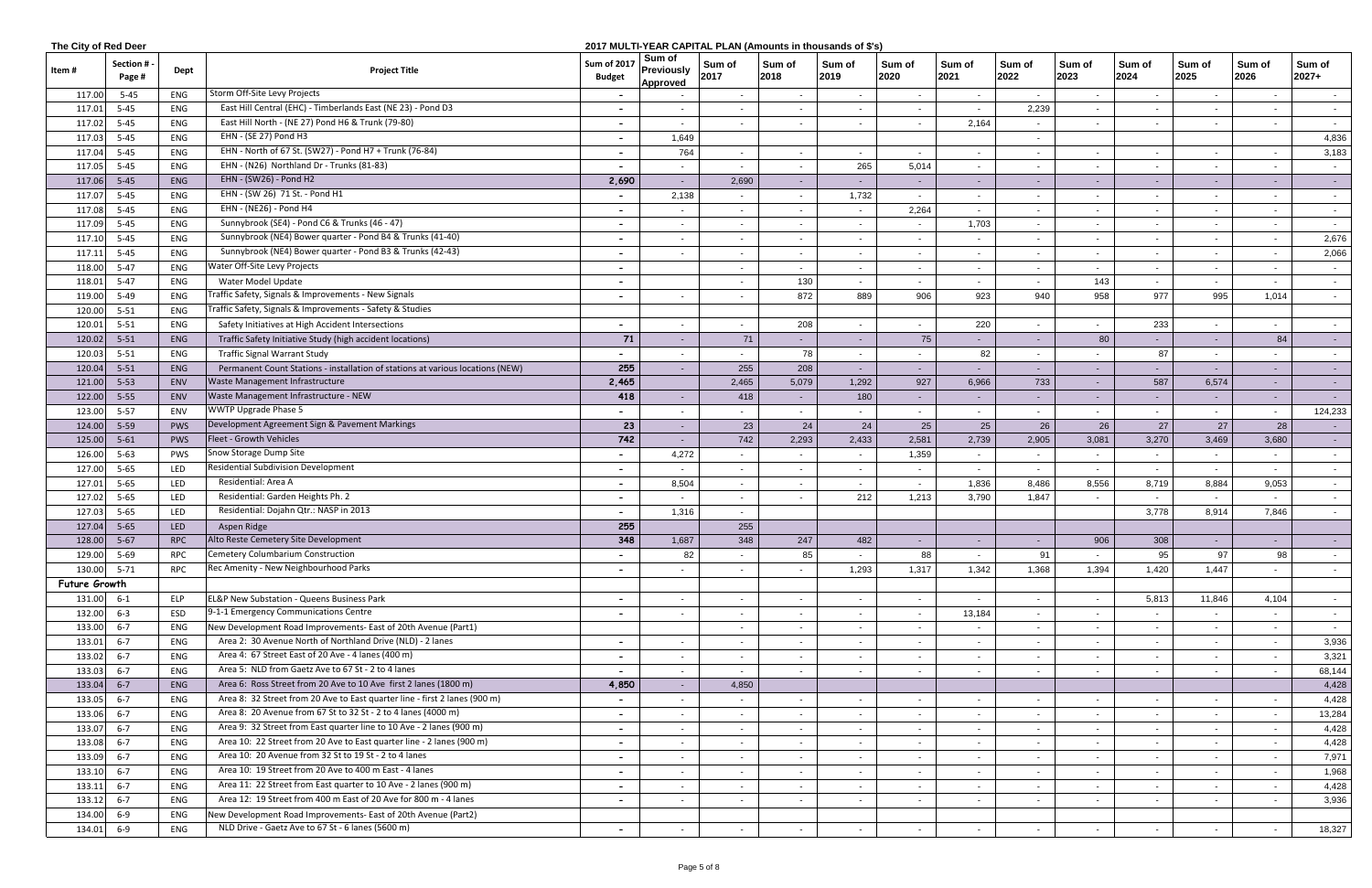| The City of Red Deer<br>2017 MULTI-YEAR CAPITAL PLAN (Amounts in thousands of \$'s) |                     |            |                                                                                |                                     |                                         |                          |                          |                  |                |                |                |                |                |                |                |                  |
|-------------------------------------------------------------------------------------|---------------------|------------|--------------------------------------------------------------------------------|-------------------------------------|-----------------------------------------|--------------------------|--------------------------|------------------|----------------|----------------|----------------|----------------|----------------|----------------|----------------|------------------|
| ltem #                                                                              | Section #<br>Page # | Dept       | <b>Project Title</b>                                                           | <b>Sum of 2017</b><br><b>Budget</b> | Sum of<br>Previously<br><b>Approved</b> | Sum of<br>2017           | Sum of<br>2018           | ∣ Sum of<br>2019 | Sum of<br>2020 | Sum of<br>2021 | Sum of<br>2022 | Sum of<br>2023 | Sum of<br>2024 | Sum of<br>2025 | Sum of<br>2026 | Sum of<br>2027+  |
| 117.00                                                                              | $5 - 45$            | ENG        | Storm Off-Site Levy Projects                                                   |                                     |                                         | $\sim$                   | $\sim$                   | $\sim$           | $\sim$         | $\sim$         |                | $\sim$         |                |                | $\sim$         | $\sim$ $-$       |
| 117.01                                                                              | $5 - 45$            | ENG        | East Hill Central (EHC) - Timberlands East (NE 23) - Pond D3                   |                                     |                                         |                          |                          |                  |                |                | 2,239          |                |                |                | $\sim$         |                  |
| 117.02                                                                              | $5 - 45$            | ENG        | East Hill North - (NE 27) Pond H6 & Trunk (79-80)                              | $\overline{\phantom{0}}$            | $\sim$                                  |                          |                          |                  |                | 2,164          |                | $\sim$         |                |                | $\sim$         | $\sim$ $-$       |
| 117.03                                                                              | $5 - 45$            | ENG        | EHN - (SE 27) Pond H3                                                          |                                     | 1,649                                   |                          |                          |                  |                |                |                |                |                |                |                | 4,836            |
| 117.04                                                                              | $5 - 45$            | ENG        | EHN - North of 67 St. (SW27) - Pond H7 + Trunk (76-84)                         |                                     | 764                                     |                          | $\sim$                   |                  | $\sim$         |                |                | $\sim$         |                |                | $\sim$         | 3,183            |
| 117.05                                                                              | $5 - 45$            | ENG        | EHN - (N26) Northland Dr - Trunks (81-83)                                      | $\sim$                              | $\sim$                                  | $\blacksquare$           | $\sim$                   | 265              | 5,014          | $\sim$         | $\sim$         | $\sim$         |                | $\sim$         | $\sim$         | $\sim$ $-$       |
| 117.06                                                                              | $5 - 45$            | ENG        | EHN - (SW26) - Pond H2                                                         | 2,690                               | $\sim$                                  | 2,690                    | $\sim$                   | $\sim$ $-$       | $\sim$         | $\sim$         | $\sim$         | $\sim$         | $\sim$         |                | $\sim$         | $\sim$ 10 $\pm$  |
| 117.0                                                                               | $5 - 45$            | ENG        | EHN - (SW 26) 71 St. - Pond H1                                                 | $\sim$                              | 2,138                                   | $\sim$                   | $\sim$                   | 1,732            | $\sim$         | $\sim$         | $\sim$         | $\sim$         | $\sim$         | $\sim$         | $\sim$         | $\sim$ $-$       |
| 117.08                                                                              | $5 - 45$            | ENG        | EHN - (NE26) - Pond H4                                                         |                                     |                                         | $\blacksquare$           | $\sim$                   |                  | 2,264          | $\sim$         |                | $\sim$         |                |                | $\sim$         | $\sim$ 100 $\mu$ |
| 117.09                                                                              | $5 - 45$            | ENG        | Sunnybrook (SE4) - Pond C6 & Trunks (46 - 47)                                  |                                     | $\sim$                                  |                          | $\overline{\phantom{0}}$ |                  |                | 1,703          |                | $\sim$         |                |                | $\sim$         | $\sim$ $-$       |
| 117.10                                                                              | $5 - 45$            | ENG        | Sunnybrook (NE4) Bower quarter - Pond B4 & Trunks (41-40)                      |                                     |                                         |                          | $\sim$                   |                  |                |                |                | $\sim$         |                |                | $\sim$         | 2,676            |
| 117.1                                                                               | $5 - 45$            | ENG        | Sunnybrook (NE4) Bower quarter - Pond B3 & Trunks (42-43)                      |                                     |                                         | $\sim$                   | $\sim$                   |                  | $\sim$         |                |                | $\sim$         |                |                | $\sim$         | 2,066            |
| 118.00                                                                              | $5 - 47$            | ENG        | Water Off-Site Levy Projects                                                   | $\overline{\phantom{a}}$            |                                         | $\overline{\phantom{a}}$ |                          |                  | $\sim$         |                |                | $\sim$         |                |                | $\sim$         | $\sim$           |
| 118.01                                                                              | $5 - 47$            | ENG        | Water Model Update                                                             | $\overline{\phantom{0}}$            |                                         | $\blacksquare$           | 130                      | $\sim$           | $\sim$         | $\sim$         | $\sim$         | 143            | $\sim$         |                | $\sim$         | $\sim$ $-$       |
| 119.00                                                                              | $5 - 49$            | ENG        | Traffic Safety, Signals & Improvements - New Signals                           | $\sim$                              | $\sim$                                  | $\sim$                   | 872                      | 889              | 906            | 923            | 940            | 958            | 977            | 995            | 1,014          | $\sim$           |
| 120.00                                                                              | $5 - 51$            | ENG        | Traffic Safety, Signals & Improvements - Safety & Studies                      |                                     |                                         |                          |                          |                  |                |                |                |                |                |                |                |                  |
| 120.01                                                                              | $5 - 51$            | ENG        | Safety Initiatives at High Accident Intersections                              | $\sim$                              | $\sim$                                  | $\sim$                   | 208                      | $\sim$           | $\sim$         | 220            | $\sim$         | $\sim$         | 233            | $\sim$         | $\sim$         | $\sim$ $-$       |
| 120.02                                                                              | $5 - 51$            | ENG        | Traffic Safety Initiative Study (high accident locations)                      | 71                                  |                                         | 71                       |                          |                  | 75             |                |                | 80             |                |                | 84             | $\sim$ 100 $\pm$ |
| 120.0                                                                               | $5 - 51$            | ENG        | <b>Traffic Signal Warrant Study</b>                                            |                                     |                                         |                          | 78                       |                  |                |                | 82             | $\sim$         | 87             |                |                | $\sim$ $-$       |
| 120.04                                                                              | $5 - 51$            | ENG        | Permanent Count Stations - installation of stations at various locations (NEW) | 255                                 |                                         | 255                      | 208                      |                  |                |                |                | $\sim$         |                |                |                | $\sim$ $-$       |
| 121.00                                                                              | $5 - 53$            | ENV        | <b>Waste Management Infrastructure</b>                                         | 2,465                               |                                         | 2,465                    | 5,079                    | 1,292            | 927            | 6,966          | 733            | $\sim$         | 587            | 6,574          | $\sim$         | $\sim$           |
| 122.00                                                                              | $5 - 55$            | ENV        | Waste Management Infrastructure - NEW                                          | 418                                 | $\sim$                                  | 418                      | $\sim$ $-$               | 180              | $\sim$ $-$     | $\sim$         | $\sim$         | $\sim$         | $\sim$         | $\sim$         | $\sim$         | $\sim$ 10 $\pm$  |
| 123.00                                                                              | $5 - 57$            | ENV        | WWTP Upgrade Phase 5                                                           |                                     | $\sim$                                  | $\sim$                   | $\sim$                   |                  | $\sim$         | $\sim$         | $\sim$         | $\sim$         | $\sim$         |                | $\sim$         | 124,233          |
| 124.00                                                                              | $5 - 59$            | <b>PWS</b> | Development Agreement Sign & Pavement Markings                                 | 23                                  | $\sim$                                  | 23                       | 24                       | 24               | 25             |                | 25<br>26       | 26             | 27             | 27             | 28             | $\sim 10$        |
| 125.00                                                                              | $5 - 61$            | <b>PWS</b> | Fleet - Growth Vehicles                                                        | 742                                 |                                         | 742                      | 2,293                    | 2,433            | 2,581          | 2,739          | 2,905          | 3,081          | 3,270          | 3,469          | 3,680          | $\sim$ $-$       |
| 126.00                                                                              | $5 - 63$            | PWS        | Snow Storage Dump Site                                                         |                                     | 4,272                                   |                          | $\sim$                   |                  | 1,359          |                |                | $\sim$         |                |                | $\sim$         | $\sim$           |
| 127.00                                                                              | $5 - 65$            | LED        | <b>Residential Subdivision Development</b>                                     |                                     |                                         |                          |                          |                  | $\sim$         |                |                | $\sim$         |                |                | $\sim$         |                  |
| 127.01                                                                              | $5 - 65$            | LED        | Residential: Area A                                                            | $\sim$                              | 8,504                                   | $\sim$                   |                          |                  | $\sim$         | 1,836          | 8,486          | 8,556          | 8,719          | 8,884          | 9,053          | $\sim$ $-$       |
| 127.02                                                                              | $5 - 65$            | LED        | Residential: Garden Heights Ph. 2                                              | $\sim$                              | $\sim$                                  | $\sim$                   | $\sim$                   | 212              | 1,213          | 3,790          | 1,847          | $\sim$         | $\sim$         | $\sim$         | $\sim$         | $\sim$ $-$       |
| 127.03                                                                              | $5 - 65$            | LED        | Residential: Dojahn Qtr.: NASP in 2013                                         |                                     | 1,316                                   | $\sim$                   |                          |                  |                |                |                |                | 3,778          | 8,914          | 7,846          | $\sim$ $-$       |
| 127.04                                                                              | $5 - 65$            | LED        | Aspen Ridge                                                                    | 255                                 |                                         | 255                      |                          |                  |                |                |                |                |                |                |                |                  |
| 128.00                                                                              | $5 - 67$            | <b>RPC</b> | Alto Reste Cemetery Site Development                                           | 348                                 | 1,687                                   | 348                      | 247                      | 482              |                |                |                | 906            | 308            |                |                |                  |
| 129.00                                                                              | $5 - 69$            | <b>RPC</b> | Cemetery Columbarium Construction                                              |                                     | 82                                      |                          | 85                       |                  | 88             |                | 91             |                | 95             | 97             | 98             | $\sim$ 100 $\mu$ |
| 130.00                                                                              | $5 - 71$            | <b>RPC</b> | Rec Amenity - New Neighbourhood Parks                                          |                                     |                                         |                          |                          | 1,293            | 1,317          | 1,342          | 1,368          | 1,394          | 1,420          | 1,447          |                |                  |
| Future Growth                                                                       |                     |            |                                                                                |                                     |                                         |                          |                          |                  |                |                |                |                |                |                |                |                  |
| 131.00                                                                              | $6 - 1$             | <b>ELP</b> | <b>EL&amp;P New Substation - Queens Business Park</b>                          |                                     |                                         | $\blacksquare$           | $\sim$                   | $\sim$           | $\sim$         | $\sim$         | $\sim$         | $\sim$         | 5,813          | 11,846         | 4,104          |                  |
| 132.00                                                                              | $6 - 3$             | ESD        | 9-1-1 Emergency Communications Centre                                          |                                     |                                         |                          | $\sim$                   |                  |                | 13,184         |                | $\sim$         |                |                | $\sim$         | $\sim$ 100 $\mu$ |
|                                                                                     |                     |            | New Development Road Improvements- East of 20th Avenue (Part1)                 |                                     |                                         |                          |                          |                  |                |                |                |                |                |                |                | $\sim$ $-$       |
| 133.00                                                                              | $6 - 7$<br>$6 - 7$  | ENG<br>ENG | Area 2: 30 Avenue North of Northland Drive (NLD) - 2 lanes                     |                                     |                                         |                          | $\sim$                   |                  | $\sim$         |                |                | $\sim$         |                |                | $\sim$         | $\sim$           |
| 133.01                                                                              |                     |            | Area 4: 67 Street East of 20 Ave - 4 lanes (400 m)                             | $\sim$                              |                                         | $\sim$                   | $\sim$                   |                  | $\sim$         | $\sim$         |                | $\sim$         |                |                | $\sim$         | 3,936            |
| 133.02                                                                              | $6 - 7$             | ENG        | Area 5: NLD from Gaetz Ave to 67 St - 2 to 4 lanes                             | $\sim$                              |                                         | $\sim$                   | $\sim$                   |                  | $\sim$         | $\sim$         | $\sim$         | $\sim$         | $\blacksquare$ | $\sim$         | $\sim$         | 3,321            |
| 133.03                                                                              | 6-7                 | ENG        |                                                                                | $\sim$                              | $\sim$                                  | $\sim$                   | $\sim$                   |                  | $\sim$         | $\sim$         | $\sim$         | $\sim$         | $\sim$         | $\sim$         | $\sim$         | 68,144           |
| 133.04                                                                              | $6 - 7$             | ENG        | Area 6: Ross Street from 20 Ave to 10 Ave first 2 lanes (1800 m)               | 4,850                               | $\sim$                                  | 4,850                    |                          |                  |                |                |                |                |                |                |                | 4,428            |
| 133.05                                                                              | $6 - 7$             | ENG        | Area 8: 32 Street from 20 Ave to East quarter line - first 2 lanes (900 m)     | $\sim$                              | $\sim$                                  |                          | $\sim$                   | $\sim$           | $\sim$         | $\sim$         |                | $\sim$         | $\blacksquare$ | $\sim$         | $\sim$         | 4,428            |
| 133.06                                                                              | $6 - 7$             | ENG        | Area 8: 20 Avenue from 67 St to 32 St - 2 to 4 lanes (4000 m)                  |                                     |                                         |                          | $\sim$                   |                  |                | $\sim$         |                | $\sim$         |                |                | $\sim$         | 13,284           |
| 133.07                                                                              | $6 - 7$             | ENG        | Area 9: 32 Street from East quarter line to 10 Ave - 2 lanes (900 m)           | $\sim$                              | $\sim$                                  |                          | $\sim$                   |                  | $\sim$         | $\sim$         |                | $\sim$         |                |                | $\sim$         | 4,428            |
| 133.08                                                                              | $6 - 7$             | ENG        | Area 10: 22 Street from 20 Ave to East quarter line - 2 lanes (900 m)          | $\sim$                              |                                         |                          | $\sim$                   |                  | $\sim$         |                |                | $\sim$         |                |                | $\sim$         | 4,428            |
| 133.09                                                                              | $6 - 7$             | ENG        | Area 10: 20 Avenue from 32 St to 19 St - 2 to 4 lanes                          | $\sim$                              |                                         | $\blacksquare$           | $\sim$                   |                  | $\sim$ $-$     | $\sim$         |                | $\sim$         |                |                | $\sim$         | 7,971            |
| 133.10                                                                              | 6-7                 | ENG        | Area 10: 19 Street from 20 Ave to 400 m East - 4 lanes                         | $\sim$                              | $\sim$                                  | $\sim$                   | $\sim$                   | $\sim$           | $\sim$         | $\sim$         | $\sim$         | $\sim$         | $\sim$         | $\sim$         | $\sim$         | 1,968            |
| 133.11                                                                              | $6 - 7$             | ENG        | Area 11: 22 Street from East quarter to 10 Ave - 2 lanes (900 m)               | $\sim$                              | $\sim$                                  | $\sim$                   | $\sim$                   | $\sim$           | $\sim$         | $\sim$         | $\sim$         | $\sim$         | $\sim$         | $\sim$         | $\sim$         | 4,428            |
| 133.12                                                                              | $6 - 7$             | ENG        | Area 12: 19 Street from 400 m East of 20 Ave for 800 m - 4 lanes               | $\sim$                              | $\sim$                                  | $\sim$                   | $\sim$                   | $\sim$           | $\sim$         | $\sim$         | $\sim$         | $\sim$         | $\sim$         | $\sim$         | $\sim$         | 3,936            |
| 134.00                                                                              | $6 - 9$             | ENG        | New Development Road Improvements- East of 20th Avenue (Part2)                 |                                     |                                         |                          |                          |                  |                |                |                |                |                |                |                |                  |
| 134.01                                                                              | $6-9$               | ENG        | NLD Drive - Gaetz Ave to 67 St - 6 lanes (5600 m)                              | $\sim$                              | $\sim$                                  | $\blacksquare$           | $\sim$                   |                  | $\sim$         | $\sim$         | $\sim$         | $\sim$         | $\sim$         |                | $\sim$         | 18,327           |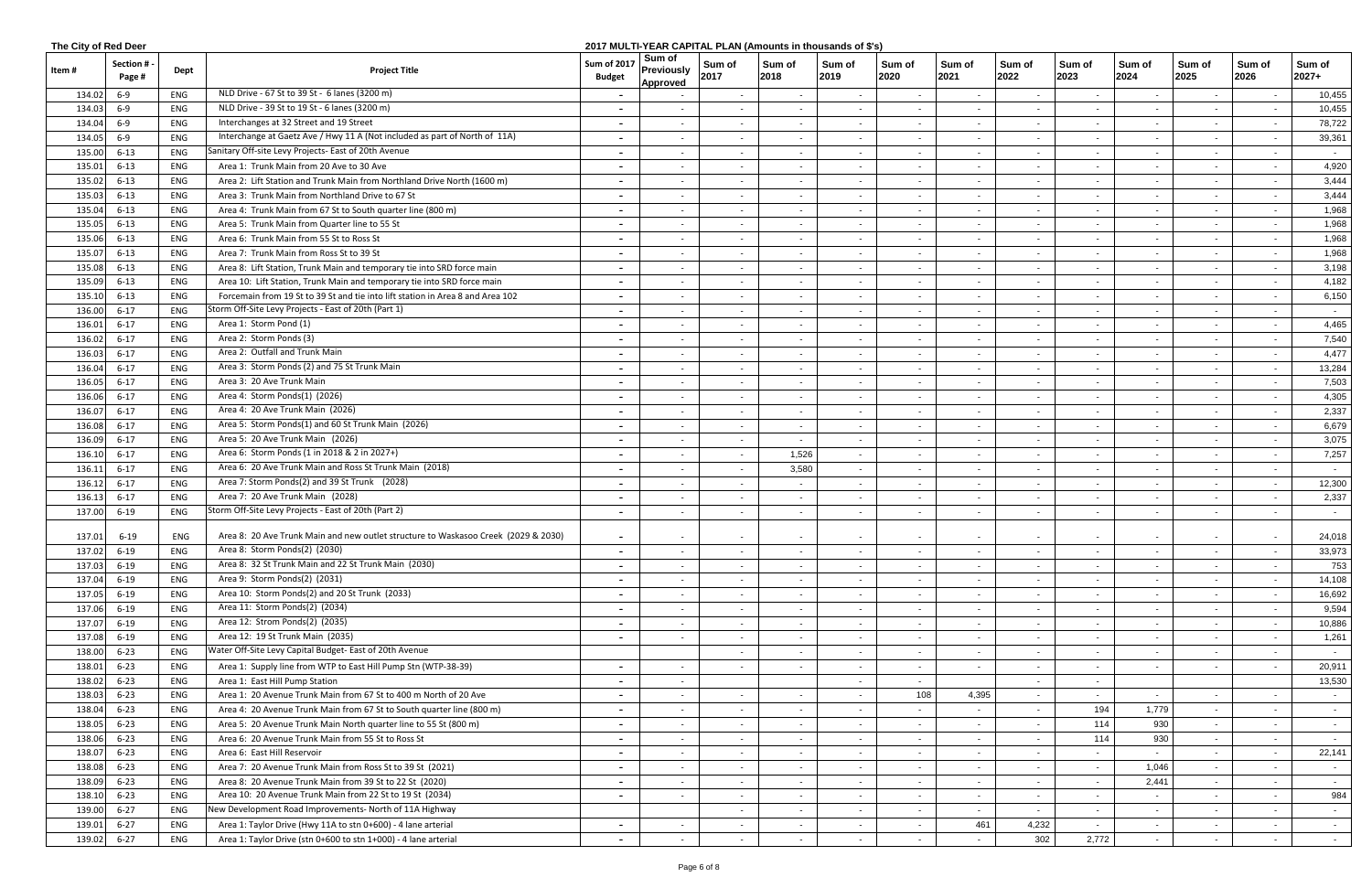|        | The City of Red Deer<br>2017 MULTI-YEAR CAPITAL PLAN (Amounts in thousands of \$'s) |      |                                                                                    |                                     |                                         |                          |                |                |                |                |                |                          |                          |                |                          |                   |
|--------|-------------------------------------------------------------------------------------|------|------------------------------------------------------------------------------------|-------------------------------------|-----------------------------------------|--------------------------|----------------|----------------|----------------|----------------|----------------|--------------------------|--------------------------|----------------|--------------------------|-------------------|
| ltem # | <b>Section#</b><br>Page #                                                           | Dept | <b>Project Title</b>                                                               | <b>Sum of 2017</b><br><b>Budget</b> | Sum of<br><b>Previously</b><br>Approved | Sum of<br>2017           | Sum of<br>2018 | Sum of<br>2019 | Sum of<br>2020 | Sum of<br>2021 | Sum of<br>2022 | Sum of<br>2023           | Sum of<br>2024           | Sum of<br>2025 | Sum of<br>2026           | Sum of<br>$2027+$ |
| 134.02 | $6 - 9$                                                                             | ENG  | NLD Drive - 67 St to 39 St - 6 lanes (3200 m)                                      |                                     |                                         | $\sim$                   | $\sim$         | $\sim$         | $\sim$         | $\sim$         | $\sim$         | $\sim$                   | $\overline{\phantom{a}}$ |                | $\sim$                   | 10,455            |
| 134.03 | 6-9                                                                                 | ENG  | NLD Drive - 39 St to 19 St - 6 lanes (3200 m)                                      |                                     |                                         |                          | $\sim$         |                |                |                |                |                          |                          |                | $\sim$                   | 10,455            |
| 134.04 | 6-9                                                                                 | ENG  | Interchanges at 32 Street and 19 Street                                            |                                     |                                         | $\sim$                   | $\sim$         |                | $\sim$         | $\sim$         |                | $\overline{\phantom{0}}$ |                          |                | $\sim$                   | 78,722            |
| 134.05 | 6-9                                                                                 | ENG  | Interchange at Gaetz Ave / Hwy 11 A (Not included as part of North of 11A)         | $\overline{\phantom{0}}$            | $\sim$                                  | $\sim$                   | $\sim$         | $\sim$         | $\sim$         | $\sim$         | $\sim$         | $\sim$                   | $\sim$                   | $\sim$         | $\sim$                   | 39,361            |
| 135.00 | $6 - 13$                                                                            | ENG  | Sanitary Off-site Levy Projects- East of 20th Avenue                               |                                     |                                         | $\sim$                   | $\sim$         |                | $\sim$         |                |                | $\sim$                   |                          |                | $\overline{\phantom{a}}$ | $\sim$            |
| 135.01 | $6 - 13$                                                                            | ENG  | Area 1: Trunk Main from 20 Ave to 30 Ave                                           |                                     | $\sim$                                  | $\sim$                   | $\sim$         | $\sim$         | $\sim$         | $\sim$         | $\blacksquare$ | $\sim$                   | $\sim$                   | $\sim$         | $\sim$                   | 4,920             |
| 135.02 | $6 - 13$                                                                            | ENG  | Area 2: Lift Station and Trunk Main from Northland Drive North (1600 m)            |                                     | $\sim$                                  | $\sim$                   | $\sim$         | $\sim$         | $\sim$         | $\sim$         |                | $\sim$                   | $\overline{\phantom{a}}$ |                | $\sim$                   | 3,444             |
| 135.03 | $6 - 13$                                                                            | ENG  | Area 3: Trunk Main from Northland Drive to 67 St                                   |                                     |                                         | $\sim$                   | $\sim$         | $\sim$         | $\sim$         | $\sim$         |                | $\sim$                   | $\overline{a}$           |                | $\blacksquare$           | 3,444             |
| 135.04 | $6 - 13$                                                                            | ENG  | Area 4: Trunk Main from 67 St to South quarter line (800 m)                        |                                     |                                         |                          | $\sim$         |                | $\sim$         | $\sim$         |                | $\sim$                   |                          |                | $\sim$                   | 1,968             |
| 135.05 | $6 - 13$                                                                            | ENG  | Area 5: Trunk Main from Quarter line to 55 St                                      |                                     |                                         | $\sim$                   | $\sim$         |                | $\sim$         | $\sim$         |                | $\sim$                   |                          |                | $\sim$                   | 1,968             |
| 135.06 | $6 - 13$                                                                            | ENG  | Area 6: Trunk Main from 55 St to Ross St                                           | $\overline{\phantom{0}}$            | $\sim$                                  | $\sim$                   | $\sim$         | $\sim$         | $\sim$         | $\sim$         | $\sim$         | $\sim$                   | $\sim$                   | $\sim$         | $\sim$                   | 1,968             |
| 135.07 | $6 - 13$                                                                            | ENG  | Area 7: Trunk Main from Ross St to 39 St                                           | $\blacksquare$                      |                                         | $\sim$                   | $\sim$         | $\sim$         | $\sim$         | $\sim$         | $\blacksquare$ | $\sim$                   | $\overline{\phantom{a}}$ |                | $\sim$                   | 1,968             |
| 135.08 | $6 - 13$                                                                            | ENG  | Area 8: Lift Station, Trunk Main and temporary tie into SRD force main             | $\overline{\phantom{a}}$            |                                         | $\sim$                   | $\sim$         | $\sim$         | $\sim$         | $\sim$         | $\blacksquare$ | $\sim$                   | $\blacksquare$           |                | $\sim$                   | 3,198             |
| 135.09 | $6 - 13$                                                                            | ENG  | Area 10: Lift Station, Trunk Main and temporary tie into SRD force main            |                                     | $\sim$                                  | $\sim$                   | $\sim$         | $\sim$         | $\sim$         | $\sim$         | $\blacksquare$ | $\sim$                   | $\overline{\phantom{a}}$ | $\sim$         | $\sim$                   | 4,182             |
| 135.1  | $6 - 13$                                                                            | ENG  | Forcemain from 19 St to 39 St and tie into lift station in Area 8 and Area 102     |                                     |                                         | $\sim$                   | $\sim$         | $\sim$         | $\sim$         | $\sim$         |                | $\sim$                   | $\blacksquare$           |                | $\sim$                   | 6,150             |
| 136.00 | $6 - 17$                                                                            | ENG  | Storm Off-Site Levy Projects - East of 20th (Part 1)                               |                                     |                                         | $\overline{\phantom{a}}$ | $\sim$         |                | $\sim$         | $\sim$         |                | $\sim$                   |                          |                | $\sim$                   | $\sim$            |
| 136.01 | $6 - 17$                                                                            | ENG  | Area 1: Storm Pond (1)                                                             |                                     | $\sim$                                  | $\sim$                   | $\sim$         |                | $\sim$         | $\sim$         | $\blacksquare$ | $\sim$                   | $\sim$                   |                | $\sim$                   | 4,465             |
| 136.02 | $6 - 17$                                                                            | ENG  | Area 2: Storm Ponds (3)                                                            | $\overline{\phantom{0}}$            | $\sim$                                  | $\sim$                   | $\sim$         | $\sim$         | $\sim$         | $\sim$         | $\sim$         | $\sim$                   | $\overline{\phantom{a}}$ | $\sim$         | $\sim$                   | 7,540             |
| 136.03 | $6 - 17$                                                                            | ENG  | Area 2: Outfall and Trunk Main                                                     | $\blacksquare$                      | $\sim$                                  | $\sim$                   | $\sim$         | $\sim$         | $\sim$         | $\sim$         | $\blacksquare$ | $\sim$                   | $\overline{\phantom{a}}$ | $\sim$         | $\sim$                   | 4,477             |
| 136.04 | $6 - 17$                                                                            | ENG  | Area 3: Storm Ponds (2) and 75 St Trunk Main                                       | $\overline{\phantom{0}}$            | $\sim$                                  | $\sim$                   | $\sim$         | $\sim$         | $\sim$         | $\sim$         | $\sim$         | $\sim$                   | $\overline{\phantom{a}}$ | $\sim$         | $\sim$                   | 13,284            |
| 136.05 | $6 - 17$                                                                            | ENG  | Area 3: 20 Ave Trunk Main                                                          |                                     |                                         | $\sim$                   | $\sim$         |                | $\sim$         | $\sim$         |                |                          | $\sim$                   |                | $\sim$                   | 7,503             |
| 136.06 | $6 - 17$                                                                            | ENG  | Area 4: Storm Ponds(1) (2026)                                                      |                                     |                                         | $\sim$                   | $\sim$         |                | $\sim$         | $\sim$         |                | $\sim$                   | $\overline{a}$           |                | $\sim$                   | 4,305             |
| 136.07 | $6 - 17$                                                                            | ENG  | Area 4: 20 Ave Trunk Main (2026)                                                   |                                     |                                         |                          | $\sim$         |                | $\sim$         | $\sim$         |                | $\sim$                   |                          |                | $\blacksquare$           | 2,337             |
| 136.08 | $6 - 17$                                                                            | ENG  | Area 5: Storm Ponds(1) and 60 St Trunk Main (2026)                                 | $\overline{\phantom{0}}$            | $\sim$                                  | $\sim$                   | $\sim$         |                | $\sim$         | $\sim$         |                | $\sim$                   | $\overline{\phantom{a}}$ |                | $\sim$                   | 6,679             |
| 136.09 | $6 - 17$                                                                            | ENG  | Area 5: 20 Ave Trunk Main (2026)                                                   | $\overline{\phantom{0}}$            | $\sim$                                  | $\sim$                   | $\sim$         | $\sim$         | $\sim$         | $\sim$         | $\sim$         | $\sim$                   | $\sim$                   | $\sim$         | $\sim$                   | 3,075             |
| 136.10 | $6 - 17$                                                                            | ENG  | Area 6: Storm Ponds (1 in 2018 & 2 in 2027+)                                       | $\blacksquare$                      |                                         | $\sim$                   | 1,526          | $\sim$         | $\sim$         | $\sim$         | $\blacksquare$ | $\sim$                   | $\sim$                   |                | $\sim$                   | 7,257             |
| 136.11 | $6 - 17$                                                                            | ENG  | Area 6: 20 Ave Trunk Main and Ross St Trunk Main (2018)                            | $\sim$                              | $\sim$                                  | $\sim$                   | 3,580          | $\sim$         | $\sim$         | $\sim$         | $\sim$         | $\sim$                   | $\overline{\phantom{a}}$ | $\sim$         | $\sim$                   | $\sim$ $-$        |
| 136.12 | $6 - 17$                                                                            | ENG  | Area 7: Storm Ponds(2) and 39 St Trunk (2028)                                      |                                     |                                         | $\sim$                   | $\sim$         | $\sim$         | $\sim$         | $\sim$         | $\sim$         | $\overline{\phantom{0}}$ | $\sim$                   |                | $\sim$                   | 12,300            |
| 136.1  | $6 - 17$                                                                            | ENG  | Area 7: 20 Ave Trunk Main (2028)                                                   |                                     | $\sim$                                  | $\sim$                   | $\sim$         | $\sim$         | $\sim$         | $\sim$         | $\blacksquare$ | $\sim$                   | $\blacksquare$           |                | $\sim$                   | 2,337             |
| 137.00 | $6 - 19$                                                                            | ENG  | Storm Off-Site Levy Projects - East of 20th (Part 2)                               |                                     |                                         | $\sim$                   | $\sim$         |                |                | $\sim$         |                |                          |                          |                | $\sim$                   | $\sim$            |
| 137.01 | 6-19                                                                                | ENG  | Area 8: 20 Ave Trunk Main and new outlet structure to Waskasoo Creek (2029 & 2030) |                                     | $\sim$                                  | $\sim$                   | $\sim$         | $\sim$         | $\sim$         | $\sim$         | $\blacksquare$ |                          | $\sim$                   |                | $\sim$                   | 24,018            |
| 137.02 | $6 - 19$                                                                            | ENG  | Area 8: Storm Ponds(2) (2030)                                                      |                                     |                                         | $\sim$                   | $\sim$         | $\sim$         | $\sim$         | $\sim$         |                |                          | $\blacksquare$           |                | $\blacksquare$           | 33,973            |
| 137.03 | $6 - 19$                                                                            | ENG  | Area 8: 32 St Trunk Main and 22 St Trunk Main (2030)                               |                                     |                                         |                          | $\sim$         |                |                | $\sim$         |                |                          |                          |                | $\blacksquare$           | 753               |
| 137.04 | $6 - 19$                                                                            | ENG  | Area 9: Storm Ponds(2) (2031)                                                      |                                     |                                         | $\sim$                   | $\sim$         |                | $\sim$         | $\sim$         |                | $\sim$                   |                          |                | $\sim$                   | 14,108            |
| 137.05 | $6 - 19$                                                                            | ENG  | Area 10: Storm Ponds(2) and 20 St Trunk (2033)                                     | $\overline{\phantom{0}}$            |                                         | $\sim$                   | $\sim$         |                | $\sim$         | $\sim$         |                | $\sim$                   |                          |                | $\sim$                   | 16,692            |
| 137.06 | $6 - 19$                                                                            | ENG  | Area 11: Storm Ponds(2) (2034)                                                     |                                     |                                         | $\sim$                   | $\sim$         |                | $\sim$         | $\sim$         |                | $\sim$                   | $\blacksquare$           |                | $\sim$                   | 9,594             |
| 137.07 | $6 - 19$                                                                            | ENG  | Area 12: Strom Ponds(2) (2035)                                                     | $\sim$                              | $\sim$                                  | $\sim$                   | $\sim$         | $\sim$         | $\sim$         | $\sim$         | $\sim$         | $\sim$                   | $\sim$                   | $\sim$         | $\sim$                   | 10,886            |
| 137.08 | $6 - 19$                                                                            | ENG  | Area 12: 19 St Trunk Main (2035)                                                   |                                     | $\sim$                                  | $\sim$                   | $\sim$         | $\sim$         | $\sim$         | $\sim$         | $\sim$         | $\sim$                   | $\sim$                   | $\sim$         | $\sim$                   | 1,261             |
| 138.00 | $6 - 23$                                                                            | ENG  | Water Off-Site Levy Capital Budget- East of 20th Avenue                            |                                     |                                         | $\sim$                   | $\sim$         | $\sim$         | $\sim$         | $\sim$         | $\sim$         | $\sim$                   | $\sim$                   | $\sim$         | $\sim$                   | $\sim$            |
| 138.01 | $6 - 23$                                                                            | ENG  | Area 1: Supply line from WTP to East Hill Pump Stn (WTP-38-39)                     |                                     |                                         | $\sim$                   | $\sim$         | $\sim$         | $\sim$         | $\sim$         | $\blacksquare$ | $\sim$                   | $\overline{\phantom{a}}$ | $\sim$         | $\sim$                   | 20,911            |
| 138.02 | $6 - 23$                                                                            | ENG  | Area 1: East Hill Pump Station                                                     | $\overline{\phantom{0}}$            | $\sim$                                  |                          |                |                | $\sim$         |                |                | $\sim$                   |                          |                |                          | 13,530            |
| 138.03 | $6 - 23$                                                                            | ENG  | Area 1: 20 Avenue Trunk Main from 67 St to 400 m North of 20 Ave                   | $\overline{\phantom{0}}$            |                                         | $\sim$                   | $\sim$         |                | 108            | 4,395          |                | $\sim$                   |                          |                | $\sim$                   | $\sim$            |
| 138.04 | $6 - 23$                                                                            | ENG  | Area 4: 20 Avenue Trunk Main from 67 St to South quarter line (800 m)              |                                     |                                         | $\sim$                   | $\sim$         |                | $\sim$         |                | $\sim$         | 194                      | 1,779                    | $\sim$         | $\sim$                   | $\sim$            |
| 138.05 | $6 - 23$                                                                            | ENG  | Area 5: 20 Avenue Trunk Main North quarter line to 55 St (800 m)                   |                                     |                                         | $\sim$                   | $\sim$         |                | $\sim$         | $\sim$         |                | 114                      | 930                      |                | $\blacksquare$           | $\sim$            |
| 138.06 | $6 - 23$                                                                            | ENG  | Area 6: 20 Avenue Trunk Main from 55 St to Ross St                                 |                                     |                                         | $\sim$                   | $\sim$         | $\sim$         | $\sim$         | $\sim$         | $\blacksquare$ | 114                      | 930                      | $\sim$         | $\sim$                   | $\sim$            |
| 138.07 | $6 - 23$                                                                            | ENG  | Area 6: East Hill Reservoir                                                        | $\blacksquare$                      | $\sim$                                  | $\sim$                   | $\sim$         | $\sim$         | $\sim$         | $\sim$         | $\sim$         | $\sim$                   | $\sim$                   | $\sim$         | $\sim$                   | 22,141            |
| 138.08 | $6 - 23$                                                                            | ENG  | Area 7: 20 Avenue Trunk Main from Ross St to 39 St (2021)                          | $\blacksquare$                      | $\sim$                                  | $\sim$                   | $\sim$         | $\sim$         | $\sim$ $-$     | $\sim$         | $\sim$         | $\sim$                   | 1,046                    | $\sim$         | $\sim$                   | $\sim$            |
| 138.09 | $6 - 23$                                                                            | ENG  | Area 8: 20 Avenue Trunk Main from 39 St to 22 St (2020)                            | $\overline{\phantom{0}}$            | $\sim$                                  | $\sim$                   | $\sim$         | $\sim$         | $\sim$         | $\sim$         | $\sim$         | $\sim$                   | 2,441                    | $\sim$         | $\sim$                   | $\sim$ $-$        |
| 138.10 | $6 - 23$                                                                            | ENG  | Area 10: 20 Avenue Trunk Main from 22 St to 19 St (2034)                           |                                     |                                         | $\sim$                   | $\sim$         |                | $\sim$         | $\sim$         |                | $\sim$                   |                          |                | $\sim$                   | 984               |
| 139.00 | $6 - 27$                                                                            | ENG  | New Development Road Improvements- North of 11A Highway                            |                                     |                                         | $\sim$                   | $\sim$         |                | $\sim$         | $\sim$         | $\sim$         | $\sim$                   |                          |                | $\sim$                   | $\sim$            |
| 139.01 | $6 - 27$                                                                            | ENG  | Area 1: Taylor Drive (Hwy 11A to stn 0+600) - 4 lane arterial                      | $\overline{\phantom{0}}$            |                                         | $\sim$                   | $\sim$         | $\sim$         | $\sim$         | 461            | 4,232          | $\sim$                   | $\overline{\phantom{a}}$ | $\sim$         | $\sim$                   | $\sim$            |
| 139.02 | $6 - 27$                                                                            | ENG  | Area 1: Taylor Drive (stn 0+600 to stn 1+000) - 4 lane arterial                    | $\sim$                              | $\sim$                                  | $\sim$                   | $\sim$         | $\sim$         | $\sim$         | $\sim$         | 302            | 2,772                    | $\sim$                   | $\sim$         | $\sim$                   | $\sim 10^{-10}$   |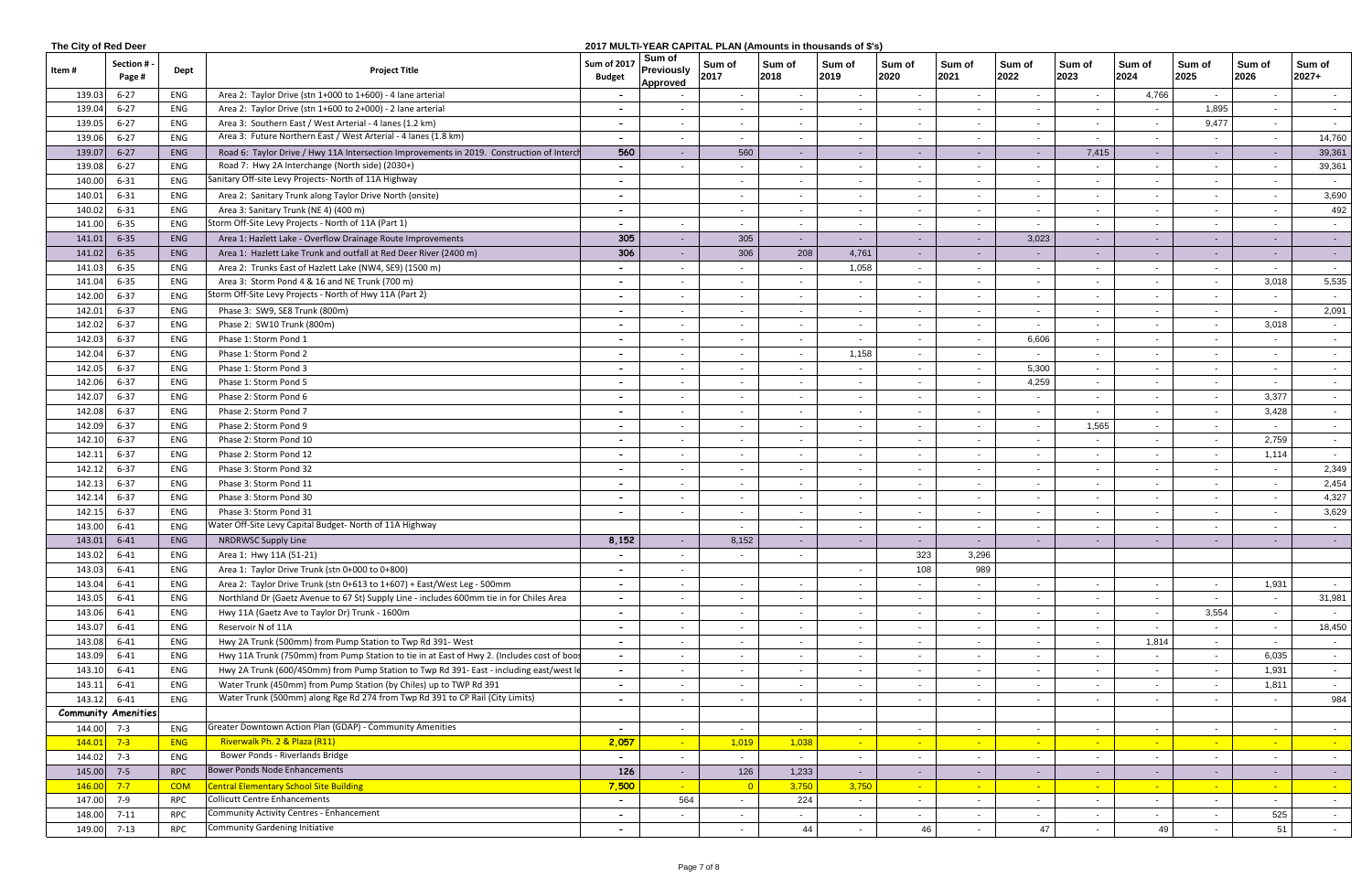|              | The City of Red Deer<br>2017 MULTI-YEAR CAPITAL PLAN (Amounts in thousands of \$'s) |            |                                                                                            |                                     |                                                |                          |                          |                |                |                |                |                          |                          |                          |                |                   |
|--------------|-------------------------------------------------------------------------------------|------------|--------------------------------------------------------------------------------------------|-------------------------------------|------------------------------------------------|--------------------------|--------------------------|----------------|----------------|----------------|----------------|--------------------------|--------------------------|--------------------------|----------------|-------------------|
| ltem #       | Section #<br>Page #                                                                 | Dept       | <b>Project Title</b>                                                                       | <b>Sum of 2017</b><br><b>Budget</b> | Sum of<br><b>Previously</b><br><b>Approved</b> | Sum of<br>2017           | Sum of<br>2018           | Sum of<br>2019 | Sum of<br>2020 | Sum of<br>2021 | Sum of<br>2022 | Sum of<br>2023           | Sum of<br>2024           | Sum of<br>2025           | Sum of<br>2026 | Sum of<br>$2027+$ |
| 139.03       | $6 - 27$                                                                            | ENG        | Area 2: Taylor Drive (stn 1+000 to 1+600) - 4 lane arterial                                |                                     |                                                | $\overline{\phantom{a}}$ | $\sim$                   | $\sim$         | $\sim$         | $\sim$         |                | $\sim$                   | 4,766                    |                          | $\sim$         | $\sim$            |
| 139.04       | $6 - 27$                                                                            | ENG        | Area 2: Taylor Drive (stn 1+600 to 2+000) - 2 lane arterial                                | $\sim$                              |                                                |                          | $\sim$                   |                |                | $\sim$         |                | $\sim$                   |                          | 1,895                    | $\sim$         | $\sim$            |
| 139.05       | $6 - 27$                                                                            | ENG        | Area 3: Southern East / West Arterial - 4 lanes (1.2 km)                                   |                                     |                                                | $\sim$                   |                          |                | $\sim$         | $\sim$         |                | $\sim$                   |                          | 9,477                    | $\sim$         |                   |
| 139.06       | $6 - 27$                                                                            | ENG        | Area 3: Future Northern East / West Arterial - 4 lanes (1.8 km)                            | $\overline{\phantom{0}}$            |                                                | $\sim$                   | $\sim$                   |                | $\sim$         | $\sim$         | $\sim$         | $\sim$                   | $\overline{\phantom{a}}$ |                          | $\sim$         | 14,760            |
| 139.07       | $6 - 27$                                                                            | ENG        | Road 6: Taylor Drive / Hwy 11A Intersection Improvements in 2019. Construction of Interch  | 560                                 |                                                | 560                      | $\sim$                   |                | $\sim$         | $\sim$         |                | 7,415                    | $\sim$                   |                          | $\sim$         | 39,361            |
| 139.08       | $6 - 27$                                                                            | ENG        | Road 7: Hwy 2A Interchange (North side) (2030+)                                            |                                     |                                                |                          |                          |                | $\sim$         | $\sim$         |                | $\sim$                   |                          |                          | $\sim$         | 39,361            |
| 140.00       | $6 - 31$                                                                            | ENG        | Sanitary Off-site Levy Projects- North of 11A Highway                                      |                                     |                                                | $\blacksquare$           |                          | $\sim$         | $\sim$         | $\sim$         |                | $\sim$                   | $\overline{\phantom{a}}$ |                          | $\sim$         | $\sim$            |
| 140.01       | $6 - 31$                                                                            | ENG        | Area 2: Sanitary Trunk along Taylor Drive North (onsite)                                   |                                     |                                                | $\blacksquare$           | $\sim$                   | $\sim$         | $\sim$         | $\sim$         |                | $\sim$                   | $\sim$                   |                          | $\sim$         | 3,690             |
| 140.02       | $6 - 31$                                                                            | ENG        | Area 3: Sanitary Trunk (NE 4) (400 m)                                                      |                                     |                                                | $\sim$                   | $\sim$                   |                |                | $\sim$         |                | $\sim$                   |                          |                          | $\blacksquare$ | 492               |
| 141.00       | $6 - 35$                                                                            | ENG        | Storm Off-Site Levy Projects - North of 11A (Part 1)                                       |                                     |                                                | $\sim$                   | $\sim$                   |                | $\sim$         | $\sim$         |                | $\sim$                   |                          |                          | $\sim$         | $\sim$            |
| 141.01       | $6 - 35$                                                                            | ENG        | Area 1: Hazlett Lake - Overflow Drainage Route Improvements                                | 305                                 |                                                | 305                      | $\sim$                   |                | $\sim 100$     | $\sim$         | 3,023          | $\sim$ $-$               |                          |                          | $\sim$         | $\sim$ 100 $\pm$  |
| 141.02       | $6 - 35$                                                                            | ENG        | Area 1: Hazlett Lake Trunk and outfall at Red Deer River (2400 m)                          | 306                                 |                                                | 306                      | 208                      | 4,761          | $\sim$         |                |                | $\sim$                   |                          |                          | $\sim$         | $\sim$ $-$        |
| 141.03       | $6 - 35$                                                                            | ENG        | Area 2: Trunks East of Hazlett Lake (NW4, SE9) (1500 m)                                    | $\overline{\phantom{a}}$            | $\sim$                                         | $\sim$                   | $\overline{\phantom{0}}$ | 1,058          | $\sim$         | $\sim$         |                | $\sim$                   |                          | $\overline{\phantom{a}}$ | $\sim$         | $\sim$ $-$        |
| 141.04       | $6 - 35$                                                                            | ENG        | Area 3: Storm Pond 4 & 16 and NE Trunk (700 m)                                             | $\overline{\phantom{a}}$            | $\sim$                                         | $\sim$                   | $\overline{\phantom{0}}$ | $\sim$         | $\sim$         | $\sim$         | $\sim$         | $\overline{\phantom{0}}$ | $\overline{\phantom{a}}$ |                          | 3,018          | 5,535             |
| 142.00       | $6 - 37$                                                                            | ENG        | Storm Off-Site Levy Projects - North of Hwy 11A (Part 2)                                   | $\overline{\phantom{0}}$            | $\sim$                                         | $\sim$                   | $\sim$                   | $\sim$         | $\sim$         | $\sim$         | $\sim$         | $\sim$                   | $\sim$                   |                          | $\sim$         | $\sim$            |
| 142.01       | $6 - 37$                                                                            | ENG        | Phase 3: SW9, SE8 Trunk (800m)                                                             | $\sim$                              | $\sim$                                         | $\sim$                   | $\sim$                   | $\sim$         | $\sim$         | $\sim$         | $\sim$         | $\sim$                   | $\overline{\phantom{a}}$ | $\sim$                   | $\sim$         | 2,091             |
| 142.02       | $6 - 37$                                                                            | ENG        | Phase 2: SW10 Trunk (800m)                                                                 | $\overline{\phantom{0}}$            |                                                |                          | $\overline{\phantom{0}}$ |                | $\sim$         | $\sim$         |                | $\sim$                   |                          |                          | 3,018          | $\sim$            |
| 142.03       | $6 - 37$                                                                            | ENG        | Phase 1: Storm Pond 1                                                                      |                                     |                                                |                          | $\sim$                   |                | $\sim$         | $\sim$         | 6,606          | $\sim$                   |                          |                          |                | $\sim$            |
| 142.04       | $6 - 37$                                                                            | ENG        | Phase 1: Storm Pond 2                                                                      |                                     |                                                | $\blacksquare$           | $\sim$                   | 1,158          | $\sim$ $-$     | $\sim$         |                | $\sim$                   |                          |                          | $\blacksquare$ | $\sim$            |
| 142.05       | $6 - 37$                                                                            | ENG        | Phase 1: Storm Pond 3                                                                      |                                     |                                                |                          |                          |                |                | $\sim$         | 5,300          | $\sim$                   |                          |                          | $\sim$         | $\sim$            |
| 142.06       | $6 - 37$                                                                            | ENG        | Phase 1: Storm Pond 5                                                                      |                                     |                                                | $\blacksquare$           |                          |                | $\sim$         | $\sim$         | 4,259          | $\sim$                   |                          |                          | $\sim$         | $\sim 100$        |
| 142.07       | $6 - 37$                                                                            | ENG        | Phase 2: Storm Pond 6                                                                      | $\overline{\phantom{0}}$            | $\sim$                                         | $\sim$                   | $\sim$                   | $\sim$         | $\sim$ $-$     | $\sim$         | $\sim$         | $\sim$                   | $\sim$                   |                          | 3,377          | $\sim$            |
| 142.08       | $6 - 37$                                                                            | ENG        | Phase 2: Storm Pond 7                                                                      |                                     | $\sim$                                         | $\sim$                   | $\sim$                   | $\sim$         | $\sim$         | $\sim$         | $\sim$         | $\sim$                   | $\sim$                   |                          | 3,428          | $\sim$            |
| 142.09       | $6 - 37$                                                                            | ENG        | Phase 2: Storm Pond 9                                                                      | $\overline{\phantom{0}}$            | $\sim$                                         | $\sim$                   | $\sim$                   |                | $\sim$         | $\sim$         |                | 1,565                    |                          |                          | $\sim$ $-$     | $\sim$            |
| 142.10       | $6 - 37$                                                                            | ENG        | Phase 2: Storm Pond 10                                                                     |                                     |                                                |                          | $\sim$                   |                | $\sim$         | $\sim$         |                | $\sim$                   |                          |                          | 2,759          |                   |
| 142.11       | $6 - 37$                                                                            | ENG        | Phase 2: Storm Pond 12                                                                     |                                     |                                                | $\blacksquare$           | $\sim$                   |                | $\sim$         | $\sim$         |                | $\sim$                   |                          |                          | 1,114          | $\sim$<br>$\sim$  |
| 142.12       | $6 - 37$                                                                            | ENG        | Phase 3: Storm Pond 32                                                                     |                                     |                                                |                          |                          |                | $\sim$         |                |                | $\sim$                   |                          |                          |                | 2,349             |
| 142.13       | $6 - 37$                                                                            | ENG        | Phase 3: Storm Pond 11                                                                     |                                     |                                                | $\blacksquare$           | $\sim$                   |                |                | $\sim$         |                |                          |                          |                          | $\sim$         | 2,454             |
|              |                                                                                     |            |                                                                                            |                                     |                                                | $\blacksquare$           |                          |                | $\sim$         | $\sim$         |                |                          |                          |                          | $\sim$         |                   |
| 142.1        | $6 - 37$                                                                            | ENG        | Phase 3: Storm Pond 30                                                                     |                                     |                                                | $\blacksquare$           | $\sim$                   | $\sim$         | $\sim$         | $\sim$         | $\sim$         | $\sim$                   | $\overline{a}$           |                          | $\sim$         | 4,327             |
| 142.15       | $6 - 37$                                                                            | ENG        | Phase 3: Storm Pond 31<br>Water Off-Site Levy Capital Budget- North of 11A Highway         |                                     |                                                | $\sim$                   | $\sim$                   |                |                | $\sim$         |                | $\sim$                   |                          |                          | $\blacksquare$ | 3,629             |
| 143.00       | $6 - 41$                                                                            | ENG        |                                                                                            |                                     |                                                |                          | $\sim$                   |                | $\sim$         | $\sim$         |                | $\sim$                   | $\blacksquare$           |                          | $\sim$         | $\sim$            |
| 143.01       | $6 - 41$                                                                            | ENG        | NRDRWSC Supply Line                                                                        | 8,152                               |                                                | 8,152                    | $\sim$                   |                |                |                |                |                          |                          |                          |                |                   |
| 143.02       | $6 - 41$                                                                            | ENG        | Area 1: Hwy 11A (51-21)                                                                    | $\sim$                              |                                                |                          | $\sim$                   |                | 323            | 3,296          |                |                          |                          |                          |                |                   |
| 143.03       | $6 - 41$                                                                            | ENG        | Area 1: Taylor Drive Trunk (stn 0+000 to 0+800)                                            | $\sim$                              | $\sim$                                         |                          |                          | $\sim$         | 108            | 989            |                |                          |                          |                          |                |                   |
| 143.04       | $6 - 41$                                                                            | ENG        | Area 2: Taylor Drive Trunk (stn 0+613 to 1+607) + East/West Leg - 500mm                    | $\sim$                              | $\sim$                                         | $\sim$                   | $\sim$                   | $\sim$         | $\sim$         | $\sim$         | $\blacksquare$ | $\sim$                   | $\overline{\phantom{a}}$ | $\sim$                   | 1,931          | $\sim$ 100 $\mu$  |
| 143.05       | $6 - 41$                                                                            | ENG        | Northland Dr (Gaetz Avenue to 67 St) Supply Line - includes 600mm tie in for Chiles Area   | $\blacksquare$                      | $\sim$                                         | $\blacksquare$           | $\sim$                   | $\sim$         | $\sim$         | $\sim$         |                | $\sim$                   | $\blacksquare$           | $\sim$                   | $\sim$         | 31,981            |
| 143.06       | $6 - 41$                                                                            | ENG        | Hwy 11A (Gaetz Ave to Taylor Dr) Trunk - 1600m                                             |                                     |                                                |                          |                          |                |                |                |                | $\sim$                   |                          | 3,554                    | $\sim$         | $\sim$ $-$        |
| 143.07       | $6 - 41$                                                                            | ENG        | Reservoir N of 11A                                                                         | $\sim$                              | $\sim$                                         |                          | $\sim$                   |                | $\sim$         | $\sim$         |                | $\sim$                   |                          |                          | $\sim$         | 18,450            |
| 143.08       | $6 - 41$                                                                            | ENG        | Hwy 2A Trunk (500mm) from Pump Station to Twp Rd 391- West                                 |                                     |                                                |                          |                          |                | $\sim$         |                |                | $\sim$                   | 1,814                    |                          | $\sim$         | $\sim$ $-$        |
| 143.09       | $6 - 41$                                                                            | ENG        | Hwy 11A Trunk (750mm) from Pump Station to tie in at East of Hwy 2. (Includes cost of boos | $\bullet$ .                         |                                                |                          | $\sim$                   |                | $\sim$         |                |                | $\sim$                   |                          |                          | 6,035          | $\sim$ 100 $\mu$  |
| 143.10       | $6 - 41$                                                                            | ENG        | Hwy 2A Trunk (600/450mm) from Pump Station to Twp Rd 391- East - including east/west le    | $\sim$                              | $\sim$                                         | $\blacksquare$           | $\sim$                   | $\sim$         | $\sim$         | $\sim$         | $\sim$         | $\sim$                   | $\overline{\phantom{a}}$ | $\sim$                   | 1,931          | $\sim$            |
| 143.11       | $6 - 41$                                                                            | ENG        | Water Trunk (450mm) from Pump Station (by Chiles) up to TWP Rd 391                         |                                     | $\sim$                                         | $\sim$                   | $\sim$                   |                | $\sim$         | $\sim$         |                |                          | $\overline{\phantom{a}}$ | $\sim$                   | 1,811          | $\sim$            |
| 143.12       | $6 - 41$                                                                            | ENG        | Water Trunk (500mm) along Rge Rd 274 from Twp Rd 391 to CP Rail (City Limits)              |                                     | $\sim$                                         | $\blacksquare$           | $\sim$                   | $\sim$         | $\sim$         | $\sim$         |                | $\sim$                   | $\overline{\phantom{a}}$ |                          | $\sim$         | 984               |
|              | <b>Community Amenities</b>                                                          |            |                                                                                            |                                     |                                                |                          |                          |                |                |                |                |                          |                          |                          |                |                   |
| 144.00 7-3   |                                                                                     | ENG        | Greater Downtown Action Plan (GDAP) - Community Amenities                                  | $\overline{\phantom{a}}$            |                                                |                          | $\sim$                   |                | $\sim$         | $\sim$         |                | $\sim$                   | $\overline{\phantom{a}}$ |                          | $\sim$         | $\sim$            |
| $144.01$ 7-3 |                                                                                     | <b>ENG</b> | Riverwalk Ph. 2 & Plaza (R11)                                                              | 2,057                               | $\sim$                                         | 1,019                    | 1,038                    |                | $\sim$         | $\sim$         |                | $\sim$ $\sim$            |                          | $\sim$                   | $\sim$ $-$     | $\sim$ $\sim$     |
| 144.02 7-3   |                                                                                     | ENG        | Bower Ponds - Riverlands Bridge                                                            | $\sim$                              |                                                | $\sim$                   | $\sim$                   | $\sim$         | $\sim$         | $\sim$         |                | $\sim$                   |                          |                          | $\sim$         | $\sim$            |
| 145.00 7-5   |                                                                                     | <b>RPC</b> | <b>Bower Ponds Node Enhancements</b>                                                       | 126                                 | $\sim$                                         | 126                      | 1,233                    | $\sim$         | $\sim$         | $\sim$         | $\sim$         | $\sim$                   | $\sim$                   | $\sim$                   | $\sim$         | $\sim$ 100 $\pm$  |
| $146.00$ 7-7 |                                                                                     | <b>COM</b> | <b>Central Elementary School Site Building</b>                                             | 7,500                               | $\sim$                                         | $\overline{\mathbf{0}}$  | 3,750                    | 3,750          | $\sim$         | $\sim$ $-$     | $\sim$         | $\sim$                   | $\sim$                   | $\sim$                   | $\sim$ $-$     | $\sim$ $-$        |
| 147.00       | $7 - 9$                                                                             | RPC        | <b>Collicutt Centre Enhancements</b>                                                       | $\sim$                              | 564                                            | $\sim$                   | 224                      | $\sim$         | $\sim$         | $\sim$         | $\sim$         | $\sim$                   | $\sim$                   | $\sim$                   | $\sim$         | $\sim$            |
| 148.00       | $7 - 11$                                                                            | RPC        | <b>Community Activity Centres - Enhancement</b>                                            | $\sim$                              |                                                | $\sim$                   | $\sim$                   | $\sim$         | $\sim$         | $\sim$         |                | $\sim$                   |                          |                          | 525            | $\sim$ $-$        |
|              | 149.00 7-13                                                                         | RPC        | <b>Community Gardening Initiative</b>                                                      |                                     |                                                |                          | 44                       |                | 46             |                | 47             | $\sim$                   | 49                       |                          | 51             | $\sim$            |